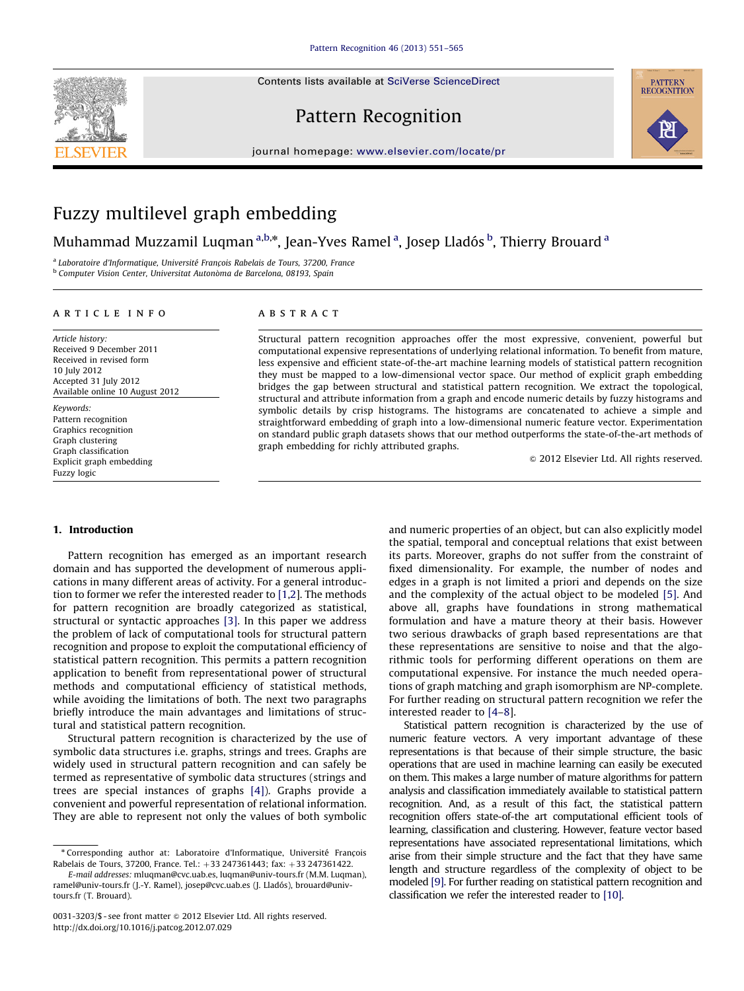Contents lists available at [SciVerse ScienceDirect](www.elsevier.com/locate/pr)



# Pattern Recognition



journal homepage: <www.elsevier.com/locate/pr>

# Fuzzy multilevel graph embedding

Muhammad Muzzamil Luqman<sup>a,b,</sup>\*, Jean-Yves Ramel<sup>a</sup>, Josep Lladós <sup>b</sup>, Thierry Brouard <sup>a</sup>

<sup>a</sup> Laboratoire d'Informatique, Université François Rabelais de Tours, 37200, France

<sup>b</sup> Computer Vision Center, Universitat Autonòma de Barcelona, 08193, Spain

## article info

Article history: Received 9 December 2011 Received in revised form 10 July 2012 Accepted 31 July 2012 Available online 10 August 2012

Keywords: Pattern recognition Graphics recognition Graph clustering Graph classification Explicit graph embedding Fuzzy logic

# ABSTRACT

Structural pattern recognition approaches offer the most expressive, convenient, powerful but computational expensive representations of underlying relational information. To benefit from mature, less expensive and efficient state-of-the-art machine learning models of statistical pattern recognition they must be mapped to a low-dimensional vector space. Our method of explicit graph embedding bridges the gap between structural and statistical pattern recognition. We extract the topological, structural and attribute information from a graph and encode numeric details by fuzzy histograms and symbolic details by crisp histograms. The histograms are concatenated to achieve a simple and straightforward embedding of graph into a low-dimensional numeric feature vector. Experimentation on standard public graph datasets shows that our method outperforms the state-of-the-art methods of graph embedding for richly attributed graphs.

 $\odot$  2012 Elsevier Ltd. All rights reserved.

### 1. Introduction

Pattern recognition has emerged as an important research domain and has supported the development of numerous applications in many different areas of activity. For a general introduction to former we refer the interested reader to [\[1,2](#page-13-0)]. The methods for pattern recognition are broadly categorized as statistical, structural or syntactic approaches [\[3\]](#page-13-0). In this paper we address the problem of lack of computational tools for structural pattern recognition and propose to exploit the computational efficiency of statistical pattern recognition. This permits a pattern recognition application to benefit from representational power of structural methods and computational efficiency of statistical methods, while avoiding the limitations of both. The next two paragraphs briefly introduce the main advantages and limitations of structural and statistical pattern recognition.

Structural pattern recognition is characterized by the use of symbolic data structures i.e. graphs, strings and trees. Graphs are widely used in structural pattern recognition and can safely be termed as representative of symbolic data structures (strings and trees are special instances of graphs [\[4\]\)](#page-13-0). Graphs provide a convenient and powerful representation of relational information. They are able to represent not only the values of both symbolic and numeric properties of an object, but can also explicitly model the spatial, temporal and conceptual relations that exist between its parts. Moreover, graphs do not suffer from the constraint of fixed dimensionality. For example, the number of nodes and edges in a graph is not limited a priori and depends on the size and the complexity of the actual object to be modeled [\[5\].](#page-13-0) And above all, graphs have foundations in strong mathematical formulation and have a mature theory at their basis. However two serious drawbacks of graph based representations are that these representations are sensitive to noise and that the algorithmic tools for performing different operations on them are computational expensive. For instance the much needed operations of graph matching and graph isomorphism are NP-complete. For further reading on structural pattern recognition we refer the interested reader to [\[4–8](#page-13-0)].

Statistical pattern recognition is characterized by the use of numeric feature vectors. A very important advantage of these representations is that because of their simple structure, the basic operations that are used in machine learning can easily be executed on them. This makes a large number of mature algorithms for pattern analysis and classification immediately available to statistical pattern recognition. And, as a result of this fact, the statistical pattern recognition offers state-of-the art computational efficient tools of learning, classification and clustering. However, feature vector based representations have associated representational limitations, which arise from their simple structure and the fact that they have same length and structure regardless of the complexity of object to be modeled [\[9\]](#page-13-0). For further reading on statistical pattern recognition and classification we refer the interested reader to [\[10\].](#page-13-0)

<sup>&</sup>lt;sup>\*</sup> Corresponding author at: Laboratoire d'Informatique, Université François Rabelais de Tours, 37200, France. Tel.: +33 247361443; fax: +33 247361422.

E-mail addresses: [mluqman@cvc.uab.es,](mailto:mluqman@cvc.uab.es) [luqman@univ-tours.fr \(M.M. Luqman\)](mailto:luqman@univ-tours.fr), [ramel@univ-tours.fr \(J.-Y. Ramel\),](mailto:ramel@univ-tours.fr) josep@cvc.uab.es (J. Lladós), [brouard@univ](mailto:brouard@univ-tours.fr)[tours.fr \(T. Brouard\)](mailto:brouard@univ-tours.fr).

<sup>0031-3203/\$ -</sup> see front matter @ 2012 Elsevier Ltd. All rights reserved. [http://dx.doi.org/10.1016/j.patcog.2012.07.029](dx.doi.org/10.1016/j.patcog.2012.07.029)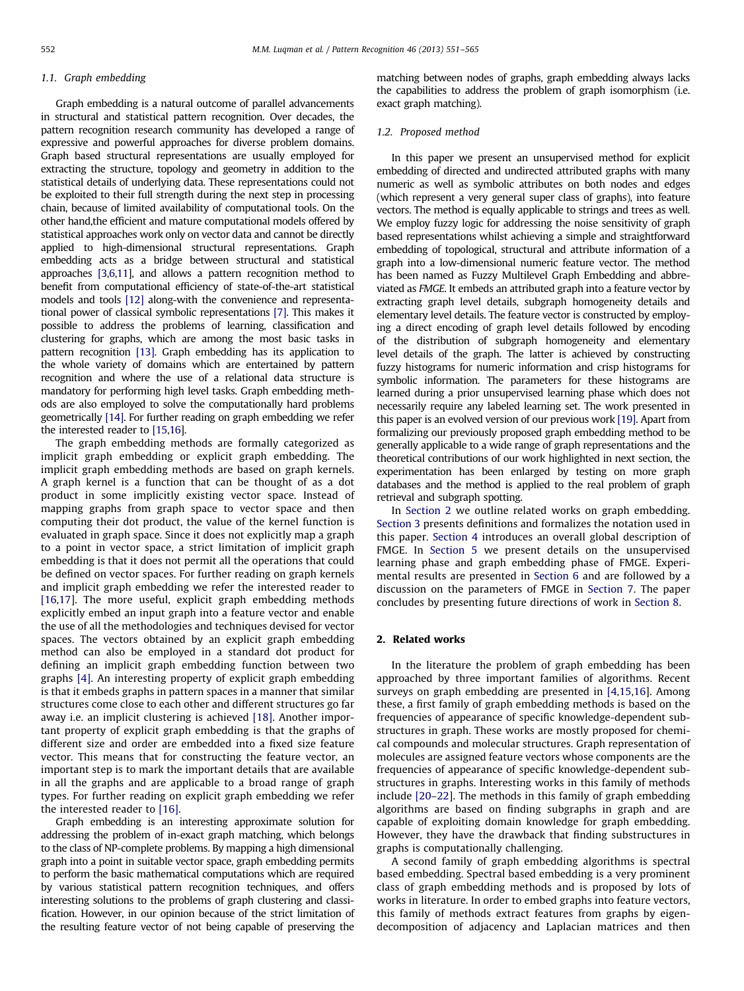#### 1.1. Graph embedding

Graph embedding is a natural outcome of parallel advancements in structural and statistical pattern recognition. Over decades, the pattern recognition research community has developed a range of expressive and powerful approaches for diverse problem domains. Graph based structural representations are usually employed for extracting the structure, topology and geometry in addition to the statistical details of underlying data. These representations could not be exploited to their full strength during the next step in processing chain, because of limited availability of computational tools. On the other hand,the efficient and mature computational models offered by statistical approaches work only on vector data and cannot be directly applied to high-dimensional structural representations. Graph embedding acts as a bridge between structural and statistical approaches [\[3,6,11\]](#page-13-0), and allows a pattern recognition method to benefit from computational efficiency of state-of-the-art statistical models and tools [\[12\]](#page-13-0) along-with the convenience and representational power of classical symbolic representations [\[7\]](#page-13-0). This makes it possible to address the problems of learning, classification and clustering for graphs, which are among the most basic tasks in pattern recognition [\[13\].](#page-13-0) Graph embedding has its application to the whole variety of domains which are entertained by pattern recognition and where the use of a relational data structure is mandatory for performing high level tasks. Graph embedding methods are also employed to solve the computationally hard problems geometrically [\[14\].](#page-13-0) For further reading on graph embedding we refer the interested reader to [\[15,16\]](#page-13-0).

The graph embedding methods are formally categorized as implicit graph embedding or explicit graph embedding. The implicit graph embedding methods are based on graph kernels. A graph kernel is a function that can be thought of as a dot product in some implicitly existing vector space. Instead of mapping graphs from graph space to vector space and then computing their dot product, the value of the kernel function is evaluated in graph space. Since it does not explicitly map a graph to a point in vector space, a strict limitation of implicit graph embedding is that it does not permit all the operations that could be defined on vector spaces. For further reading on graph kernels and implicit graph embedding we refer the interested reader to [\[16,17\]](#page-13-0). The more useful, explicit graph embedding methods explicitly embed an input graph into a feature vector and enable the use of all the methodologies and techniques devised for vector spaces. The vectors obtained by an explicit graph embedding method can also be employed in a standard dot product for defining an implicit graph embedding function between two graphs [\[4\].](#page-13-0) An interesting property of explicit graph embedding is that it embeds graphs in pattern spaces in a manner that similar structures come close to each other and different structures go far away i.e. an implicit clustering is achieved [\[18\]](#page-13-0). Another important property of explicit graph embedding is that the graphs of different size and order are embedded into a fixed size feature vector. This means that for constructing the feature vector, an important step is to mark the important details that are available in all the graphs and are applicable to a broad range of graph types. For further reading on explicit graph embedding we refer the interested reader to [\[16\].](#page-13-0)

Graph embedding is an interesting approximate solution for addressing the problem of in-exact graph matching, which belongs to the class of NP-complete problems. By mapping a high dimensional graph into a point in suitable vector space, graph embedding permits to perform the basic mathematical computations which are required by various statistical pattern recognition techniques, and offers interesting solutions to the problems of graph clustering and classification. However, in our opinion because of the strict limitation of the resulting feature vector of not being capable of preserving the matching between nodes of graphs, graph embedding always lacks the capabilities to address the problem of graph isomorphism (i.e. exact graph matching).

### 1.2. Proposed method

In this paper we present an unsupervised method for explicit embedding of directed and undirected attributed graphs with many numeric as well as symbolic attributes on both nodes and edges (which represent a very general super class of graphs), into feature vectors. The method is equally applicable to strings and trees as well. We employ fuzzy logic for addressing the noise sensitivity of graph based representations whilst achieving a simple and straightforward embedding of topological, structural and attribute information of a graph into a low-dimensional numeric feature vector. The method has been named as Fuzzy Multilevel Graph Embedding and abbreviated as FMGE. It embeds an attributed graph into a feature vector by extracting graph level details, subgraph homogeneity details and elementary level details. The feature vector is constructed by employing a direct encoding of graph level details followed by encoding of the distribution of subgraph homogeneity and elementary level details of the graph. The latter is achieved by constructing fuzzy histograms for numeric information and crisp histograms for symbolic information. The parameters for these histograms are learned during a prior unsupervised learning phase which does not necessarily require any labeled learning set. The work presented in this paper is an evolved version of our previous work [\[19\]](#page-14-0). Apart from formalizing our previously proposed graph embedding method to be generally applicable to a wide range of graph representations and the theoretical contributions of our work highlighted in next section, the experimentation has been enlarged by testing on more graph databases and the method is applied to the real problem of graph retrieval and subgraph spotting.

In Section 2 we outline related works on graph embedding. [Section 3](#page-2-0) presents definitions and formalizes the notation used in this paper. [Section 4](#page-3-0) introduces an overall global description of FMGE. In [Section 5](#page-6-0) we present details on the unsupervised learning phase and graph embedding phase of FMGE. Experimental results are presented in [Section 6](#page-8-0) and are followed by a discussion on the parameters of FMGE in [Section 7](#page-12-0). The paper concludes by presenting future directions of work in [Section 8.](#page-13-0)

#### 2. Related works

In the literature the problem of graph embedding has been approached by three important families of algorithms. Recent surveys on graph embedding are presented in [\[4](#page-13-0),[15,16](#page-13-0)]. Among these, a first family of graph embedding methods is based on the frequencies of appearance of specific knowledge-dependent substructures in graph. These works are mostly proposed for chemical compounds and molecular structures. Graph representation of molecules are assigned feature vectors whose components are the frequencies of appearance of specific knowledge-dependent substructures in graphs. Interesting works in this family of methods include [\[20–22\]](#page-14-0). The methods in this family of graph embedding algorithms are based on finding subgraphs in graph and are capable of exploiting domain knowledge for graph embedding. However, they have the drawback that finding substructures in graphs is computationally challenging.

A second family of graph embedding algorithms is spectral based embedding. Spectral based embedding is a very prominent class of graph embedding methods and is proposed by lots of works in literature. In order to embed graphs into feature vectors, this family of methods extract features from graphs by eigendecomposition of adjacency and Laplacian matrices and then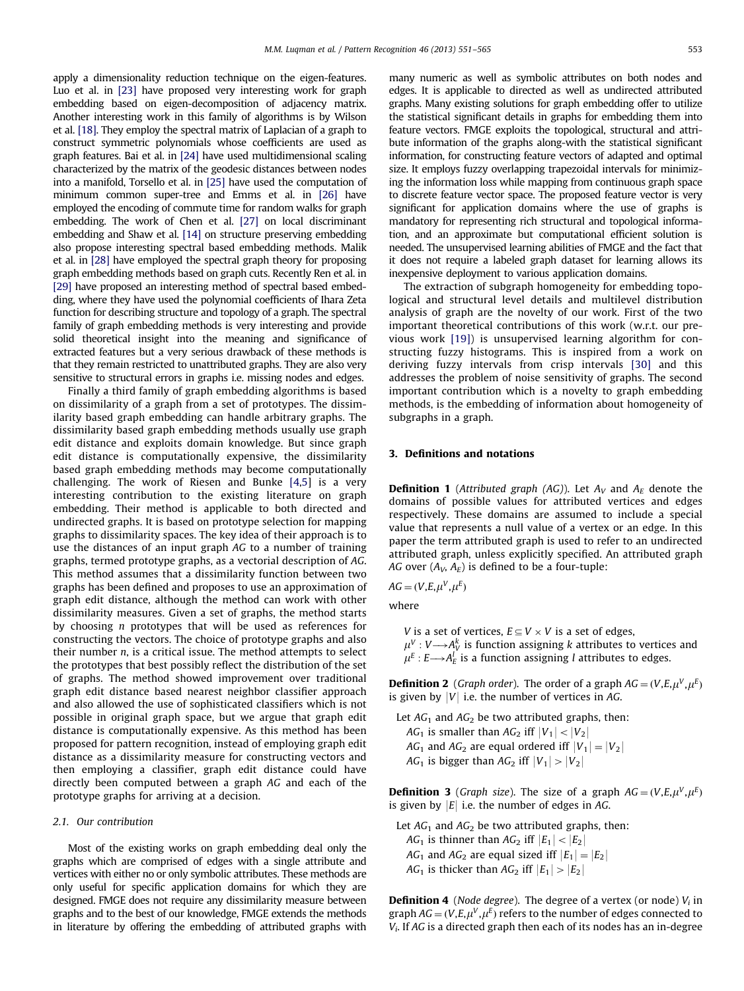<span id="page-2-0"></span>apply a dimensionality reduction technique on the eigen-features. Luo et al. in [\[23\]](#page-14-0) have proposed very interesting work for graph embedding based on eigen-decomposition of adjacency matrix. Another interesting work in this family of algorithms is by Wilson et al. [\[18\].](#page-13-0) They employ the spectral matrix of Laplacian of a graph to construct symmetric polynomials whose coefficients are used as graph features. Bai et al. in [\[24\]](#page-14-0) have used multidimensional scaling characterized by the matrix of the geodesic distances between nodes into a manifold, Torsello et al. in [\[25\]](#page-14-0) have used the computation of minimum common super-tree and Emms et al. in [\[26\]](#page-14-0) have employed the encoding of commute time for random walks for graph embedding. The work of Chen et al. [\[27\]](#page-14-0) on local discriminant embedding and Shaw et al. [\[14\]](#page-13-0) on structure preserving embedding also propose interesting spectral based embedding methods. Malik et al. in [\[28\]](#page-14-0) have employed the spectral graph theory for proposing graph embedding methods based on graph cuts. Recently Ren et al. in [\[29\]](#page-14-0) have proposed an interesting method of spectral based embedding, where they have used the polynomial coefficients of Ihara Zeta function for describing structure and topology of a graph. The spectral family of graph embedding methods is very interesting and provide solid theoretical insight into the meaning and significance of extracted features but a very serious drawback of these methods is that they remain restricted to unattributed graphs. They are also very sensitive to structural errors in graphs i.e. missing nodes and edges.

Finally a third family of graph embedding algorithms is based on dissimilarity of a graph from a set of prototypes. The dissimilarity based graph embedding can handle arbitrary graphs. The dissimilarity based graph embedding methods usually use graph edit distance and exploits domain knowledge. But since graph edit distance is computationally expensive, the dissimilarity based graph embedding methods may become computationally challenging. The work of Riesen and Bunke [\[4,5\]](#page-13-0) is a very interesting contribution to the existing literature on graph embedding. Their method is applicable to both directed and undirected graphs. It is based on prototype selection for mapping graphs to dissimilarity spaces. The key idea of their approach is to use the distances of an input graph AG to a number of training graphs, termed prototype graphs, as a vectorial description of AG. This method assumes that a dissimilarity function between two graphs has been defined and proposes to use an approximation of graph edit distance, although the method can work with other dissimilarity measures. Given a set of graphs, the method starts by choosing n prototypes that will be used as references for constructing the vectors. The choice of prototype graphs and also their number  $n$ , is a critical issue. The method attempts to select the prototypes that best possibly reflect the distribution of the set of graphs. The method showed improvement over traditional graph edit distance based nearest neighbor classifier approach and also allowed the use of sophisticated classifiers which is not possible in original graph space, but we argue that graph edit distance is computationally expensive. As this method has been proposed for pattern recognition, instead of employing graph edit distance as a dissimilarity measure for constructing vectors and then employing a classifier, graph edit distance could have directly been computed between a graph AG and each of the prototype graphs for arriving at a decision.

# 2.1. Our contribution

Most of the existing works on graph embedding deal only the graphs which are comprised of edges with a single attribute and vertices with either no or only symbolic attributes. These methods are only useful for specific application domains for which they are designed. FMGE does not require any dissimilarity measure between graphs and to the best of our knowledge, FMGE extends the methods in literature by offering the embedding of attributed graphs with many numeric as well as symbolic attributes on both nodes and edges. It is applicable to directed as well as undirected attributed graphs. Many existing solutions for graph embedding offer to utilize the statistical significant details in graphs for embedding them into feature vectors. FMGE exploits the topological, structural and attribute information of the graphs along-with the statistical significant information, for constructing feature vectors of adapted and optimal size. It employs fuzzy overlapping trapezoidal intervals for minimizing the information loss while mapping from continuous graph space to discrete feature vector space. The proposed feature vector is very significant for application domains where the use of graphs is mandatory for representing rich structural and topological information, and an approximate but computational efficient solution is needed. The unsupervised learning abilities of FMGE and the fact that it does not require a labeled graph dataset for learning allows its inexpensive deployment to various application domains.

The extraction of subgraph homogeneity for embedding topological and structural level details and multilevel distribution analysis of graph are the novelty of our work. First of the two important theoretical contributions of this work (w.r.t. our previous work [\[19\]\)](#page-14-0) is unsupervised learning algorithm for constructing fuzzy histograms. This is inspired from a work on deriving fuzzy intervals from crisp intervals [\[30\]](#page-14-0) and this addresses the problem of noise sensitivity of graphs. The second important contribution which is a novelty to graph embedding methods, is the embedding of information about homogeneity of subgraphs in a graph.

#### 3. Definitions and notations

**Definition 1** (Attributed graph (AG)). Let  $A_V$  and  $A_E$  denote the domains of possible values for attributed vertices and edges respectively. These domains are assumed to include a special value that represents a null value of a vertex or an edge. In this paper the term attributed graph is used to refer to an undirected attributed graph, unless explicitly specified. An attributed graph AG over  $(A_V, A_E)$  is defined to be a four-tuple:

$$
AG = (V, E, \mu^V, \mu^E)
$$

where

V is a set of vertices,  $E \subseteq V \times V$  is a set of edges,  $\mu^V: V {\longrightarrow} A_V^k$  is function assigning  $k$  attributes to vertices and  $\mu^E:E{\longrightarrow} A_E^l$  is a function assigning l attributes to edges.

**Definition 2** (Graph order). The order of a graph  $AG = (V, E, \mu^V, \mu^E)$ is given by  $|V|$  i.e. the number of vertices in AG.

Let  $AG_1$  and  $AG_2$  be two attributed graphs, then: AG<sub>1</sub> is smaller than AG<sub>2</sub> iff  $|V_1|$  <  $|V_2|$ AG<sub>1</sub> and AG<sub>2</sub> are equal ordered iff  $|V_1|=|V_2|$ AG<sub>1</sub> is bigger than AG<sub>2</sub> iff  $|V_1| > |V_2|$ 

**Definition 3** (Graph size). The size of a graph  $AG = (V,E,\mu^V,\mu^E)$ is given by  $|E|$  i.e. the number of edges in AG.

Let  $AG_1$  and  $AG_2$  be two attributed graphs, then:  $AG_1$  is thinner than  $AG_2$  iff  $|E_1| < |E_2|$  $AG_1$  and  $AG_2$  are equal sized iff  $|E_1| = |E_2|$ AG<sub>1</sub> is thicker than AG<sub>2</sub> iff  $|E_1|>|E_2|$ 

**Definition 4** (*Node degree*). The degree of a vertex (or node)  $V_i$  in graph  $AG = (V, E, \mu^V, \mu^E)$  refers to the number of edges connected to  $V_i$ . If AG is a directed graph then each of its nodes has an in-degree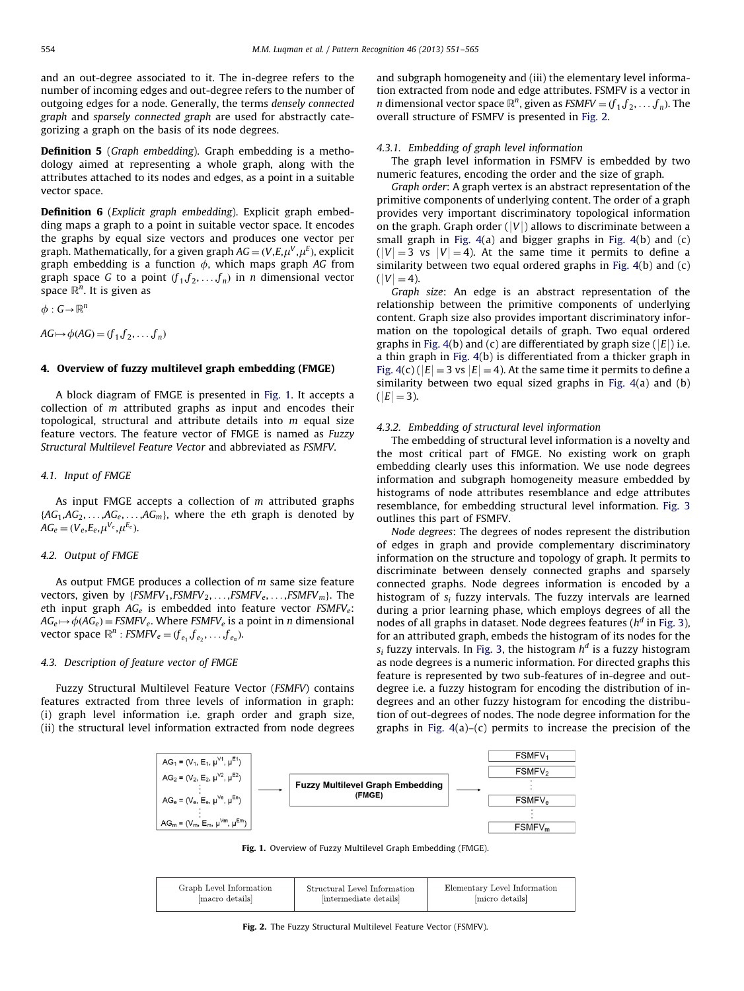<span id="page-3-0"></span>and an out-degree associated to it. The in-degree refers to the number of incoming edges and out-degree refers to the number of outgoing edges for a node. Generally, the terms densely connected graph and sparsely connected graph are used for abstractly categorizing a graph on the basis of its node degrees.

Definition 5 (Graph embedding). Graph embedding is a methodology aimed at representing a whole graph, along with the attributes attached to its nodes and edges, as a point in a suitable vector space.

Definition 6 (Explicit graph embedding). Explicit graph embedding maps a graph to a point in suitable vector space. It encodes the graphs by equal size vectors and produces one vector per graph. Mathematically, for a given graph  $AG = (V, E, \mu^V, \mu^E)$ , explicit graph embedding is a function  $\phi$ , which maps graph AG from graph space G to a point  $(f_1, f_2, \ldots, f_n)$  in *n* dimensional vector space  $\mathbb{R}^n$ . It is given as

 $\phi: G \to \mathbb{R}^n$ 

 $AG \mapsto \phi(AG) = (f_1, f_2, \ldots, f_n)$ 

# 4. Overview of fuzzy multilevel graph embedding (FMGE)

A block diagram of FMGE is presented in Fig. 1. It accepts a collection of  $m$  attributed graphs as input and encodes their topological, structural and attribute details into  $m$  equal size feature vectors. The feature vector of FMGE is named as Fuzzy Structural Multilevel Feature Vector and abbreviated as FSMFV.

#### 4.1. Input of FMGE

As input FMGE accepts a collection of m attributed graphs  ${AG_1, AG_2, \ldots, AG_e, \ldots, AG_m}$ , where the eth graph is denoted by  $AG_e = (V_e, E_e, \mu^{V_e}, \mu^{E_e}).$ 

### 4.2. Output of FMGE

As output FMGE produces a collection of m same size feature vectors, given by  ${FSMFV_1,FSMFV_2, \ldots,FSMFV_e, \ldots,FSMFV_m}$ . The eth input graph  $AG_e$  is embedded into feature vector  $FSMFV_e$ :  $AG_e \mapsto \phi(AG_e) = FSMFV_e$ . Where  $FSMFV_e$  is a point in *n* dimensional vector space  $\mathbb{R}^n$  :  $FSMFV_e = (f_{e_1}, f_{e_2}, \ldots, f_{e_n}).$ 

#### 4.3. Description of feature vector of FMGE

Fuzzy Structural Multilevel Feature Vector (FSMFV) contains features extracted from three levels of information in graph: (i) graph level information i.e. graph order and graph size, (ii) the structural level information extracted from node degrees and subgraph homogeneity and (iii) the elementary level information extracted from node and edge attributes. FSMFV is a vector in *n* dimensional vector space  $\mathbb{R}^n$ , given as  $FS$ MFV  $=(f_1,f_2,\ldots,f_n)$ . The overall structure of FSMFV is presented in Fig. 2.

#### 4.3.1. Embedding of graph level information

The graph level information in FSMFV is embedded by two numeric features, encoding the order and the size of graph.

Graph order: A graph vertex is an abstract representation of the primitive components of underlying content. The order of a graph provides very important discriminatory topological information on the graph. Graph order  $(|V|)$  allows to discriminate between a small graph in [Fig. 4\(](#page-4-0)a) and bigger graphs in [Fig. 4\(](#page-4-0)b) and (c)  $(|V|=3$  vs  $|V|=4$ ). At the same time it permits to define a similarity between two equal ordered graphs in [Fig. 4\(](#page-4-0)b) and (c)  $(|V|=4)$ .

Graph size: An edge is an abstract representation of the relationship between the primitive components of underlying content. Graph size also provides important discriminatory information on the topological details of graph. Two equal ordered graphs in [Fig. 4\(](#page-4-0)b) and (c) are differentiated by graph size ( $|E|$ ) i.e. a thin graph in [Fig. 4\(](#page-4-0)b) is differentiated from a thicker graph in Fig.  $4(c)$  ( $|E|=3$  vs  $|E|=4$ ). At the same time it permits to define a similarity between two equal sized graphs in [Fig. 4](#page-4-0)(a) and (b)  $(|E|=3)$ .

#### 4.3.2. Embedding of structural level information

The embedding of structural level information is a novelty and the most critical part of FMGE. No existing work on graph embedding clearly uses this information. We use node degrees information and subgraph homogeneity measure embedded by histograms of node attributes resemblance and edge attributes resemblance, for embedding structural level information. [Fig. 3](#page-4-0) outlines this part of FSMFV.

Node degrees: The degrees of nodes represent the distribution of edges in graph and provide complementary discriminatory information on the structure and topology of graph. It permits to discriminate between densely connected graphs and sparsely connected graphs. Node degrees information is encoded by a histogram of  $s_i$  fuzzy intervals. The fuzzy intervals are learned during a prior learning phase, which employs degrees of all the nodes of all graphs in dataset. Node degrees features ( $h^d$  in [Fig. 3\)](#page-4-0), for an attributed graph, embeds the histogram of its nodes for the  $s_i$  fuzzy intervals. In [Fig. 3](#page-4-0), the histogram  $h^d$  is a fuzzy histogram as node degrees is a numeric information. For directed graphs this feature is represented by two sub-features of in-degree and outdegree i.e. a fuzzy histogram for encoding the distribution of indegrees and an other fuzzy histogram for encoding the distribution of out-degrees of nodes. The node degree information for the graphs in [Fig. 4\(](#page-4-0)a)–(c) permits to increase the precision of the



Fig. 1. Overview of Fuzzy Multilevel Graph Embedding (FMGE).

| Graph Level Information | Structural Level Information | Elementary Level Information |
|-------------------------|------------------------------|------------------------------|
| macro details           | lintermediate details        | micro details                |
|                         |                              |                              |

Fig. 2. The Fuzzy Structural Multilevel Feature Vector (FSMFV).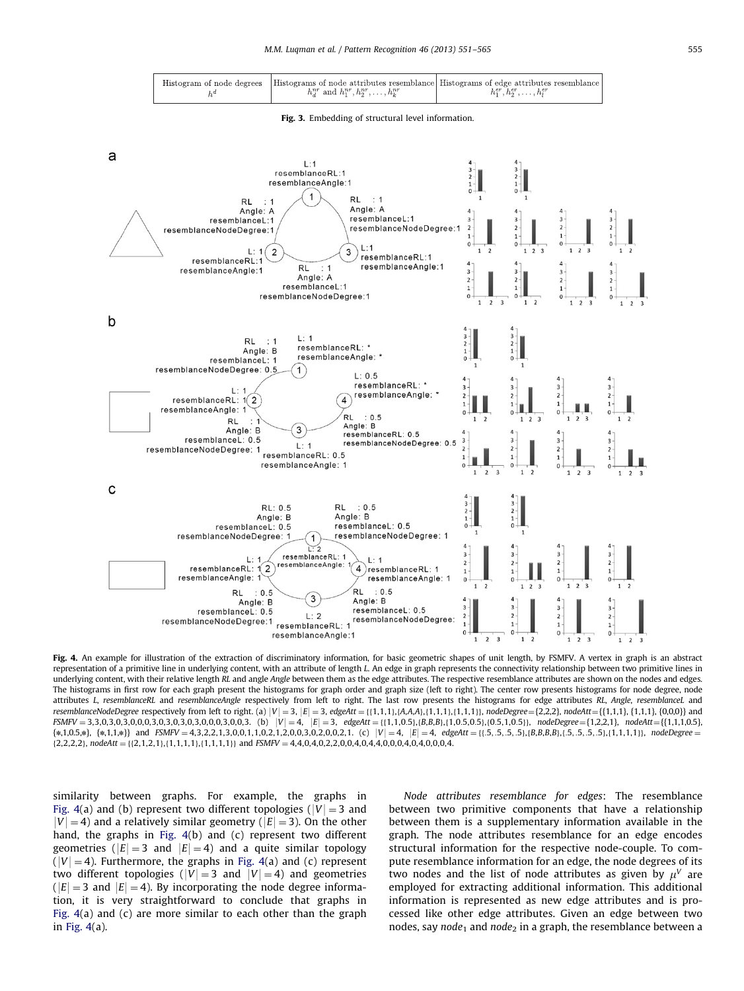<span id="page-4-0"></span>

Fig. 4. An example for illustration of the extraction of discriminatory information, for basic geometric shapes of unit length, by FSMFV. A vertex in graph is an abstract representation of a primitive line in underlying content, with an attribute of length L. An edge in graph represents the connectivity relationship between two primitive lines in underlying content, with their relative length RL and angle Angle between them as the edge attributes. The respective resemblance attributes are shown on the nodes and edges. The histograms in first row for each graph present the histograms for graph order and graph size (left to right). The center row presents histograms for node degree, node attributes L, resemblanceRL and resemblanceAngle respectively from left to right. The last row presents the histograms for edge attributes RL, Angle, resemblanceL and  $r$ esemblanceNodeDegree respectively from left to right. (a)  $|V| = 3$ ,  $|E| = 3$ , edgeAtt = {{1,1,1},{A,A,A],{1,1,1},{1,1,1},  $(1,1,1]$ },  $nodeDegree = {2,2,2}$ ,  $nodeAfter = {{1,1,1}}, {1,1,1}$ , {1,1,1}, {0,0,0}} and FSMFV = 3,3,0,3,0,3,0,0,0,3,0,3,0,0,0,3,0,0,0,3,0,0,0,3. (b)  $|V| = 4$ ,  $|E| = 3$ , edgeAtt = {{1,1,0.5},{B,B,B},{1,0.5,0.5}},(0.5,1,0.5}}, nodeDegree={1,2,2,1}, nodeAtt={{1,1,1,0.5},  ${*1,0.5,*}$ ,  ${*1,1,*}$  and  $FSMFV = 4,3,2,2,1,3,0,0,1,1,0,2,1,2,0,0,3,0,2,0,0,2,1.$  (c)  $|V| = 4$ ,  $|E| = 4$ , edgeAtt = {{.5,.5,.5,.5},{B,B,B}},{.5,.5,.5},{1,1,1,1}}, nodeDegree = f2,2,2,2g, nodeAtt ¼ ff2,1,2,1g,f1,1,1,1g,f1,1,1,1gg and FSMFV ¼ 4,4,0,4,0,2,2,0,0,4,0,4,4,0,0,0,4,0,4,0,0,0,4.

similarity between graphs. For example, the graphs in Fig. 4(a) and (b) represent two different topologies ( $|V|=3$  and  $|V|=4$ ) and a relatively similar geometry ( $|E|=3$ ). On the other hand, the graphs in Fig. 4(b) and (c) represent two different geometries ( $|E|=3$  and  $|E|=4$ ) and a quite similar topology  $(|V|=4)$ . Furthermore, the graphs in Fig. 4(a) and (c) represent two different topologies ( $|V|=3$  and  $|V|=4$ ) and geometries  $(|E|=3$  and  $|E|=4$ ). By incorporating the node degree information, it is very straightforward to conclude that graphs in Fig. 4(a) and (c) are more similar to each other than the graph in Fig. 4(a).

Node attributes resemblance for edges: The resemblance between two primitive components that have a relationship between them is a supplementary information available in the graph. The node attributes resemblance for an edge encodes structural information for the respective node-couple. To compute resemblance information for an edge, the node degrees of its two nodes and the list of node attributes as given by  $\mu^V$  are employed for extracting additional information. This additional information is represented as new edge attributes and is processed like other edge attributes. Given an edge between two nodes, say node<sub>1</sub> and node<sub>2</sub> in a graph, the resemblance between a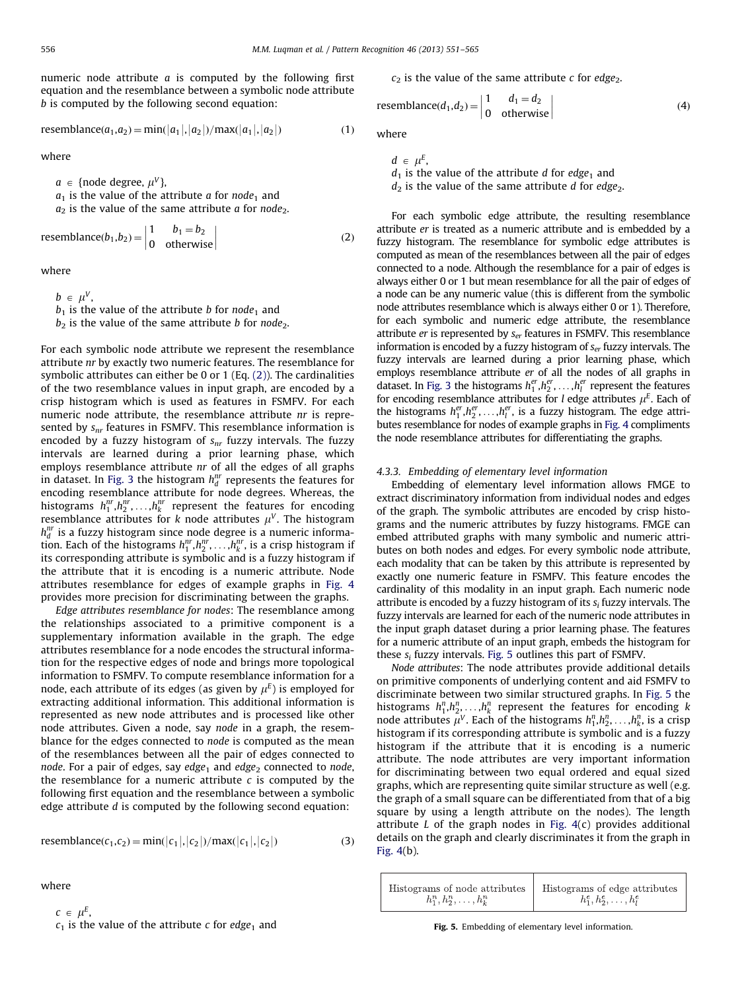<span id="page-5-0"></span>numeric node attribute  $a$  is computed by the following first equation and the resemblance between a symbolic node attribute b is computed by the following second equation:

\n
$$
\text{resembleance}(a_1, a_2) = \min(|a_1|, |a_2|) / \max(|a_1|, |a_2|)
$$
\n

\n\n (1)\n

where

 $a \in \{$ node degree,  $\mu^V$ },  $a_1$  is the value of the attribute a for node<sub>1</sub> and

 $a_2$  is the value of the same attribute a for node<sub>2</sub>.

resemblance

\n
$$
(b_1, b_2) = \begin{vmatrix} 1 & b_1 = b_2 \\ 0 & \text{otherwise} \end{vmatrix} \tag{2}
$$

where

 $b \in \mu^V$ ,  $b_1$  is the value of the attribute b for node<sub>1</sub> and

 $b_2$  is the value of the same attribute *b* for node<sub>2</sub>.

For each symbolic node attribute we represent the resemblance attribute nr by exactly two numeric features. The resemblance for symbolic attributes can either be 0 or 1 (Eq. (2)). The cardinalities of the two resemblance values in input graph, are encoded by a crisp histogram which is used as features in FSMFV. For each numeric node attribute, the resemblance attribute nr is represented by  $s_{nr}$  features in FSMFV. This resemblance information is encoded by a fuzzy histogram of  $s_{nr}$  fuzzy intervals. The fuzzy intervals are learned during a prior learning phase, which employs resemblance attribute nr of all the edges of all graphs in dataset. In [Fig. 3](#page-4-0) the histogram  $h_d^{nr}$  represents the features for encoding resemblance attribute for node degrees. Whereas, the histograms  $h_1^{nr}, h_2^{nr}, \ldots, h_k^{nr}$  represent the features for encoding resemblance attributes for k node attributes  $\mu^V$ . The histogram  $h_d^{nr}$  is a fuzzy histogram since node degree is a numeric information. Each of the histograms  $h_1^{nr}, h_2^{nr}, \ldots, h_k^{nr}$ , is a crisp histogram if its corresponding attribute is symbolic and is a fuzzy histogram if the attribute that it is encoding is a numeric attribute. Node attributes resemblance for edges of example graphs in [Fig. 4](#page-4-0) provides more precision for discriminating between the graphs.

Edge attributes resemblance for nodes: The resemblance among the relationships associated to a primitive component is a supplementary information available in the graph. The edge attributes resemblance for a node encodes the structural information for the respective edges of node and brings more topological information to FSMFV. To compute resemblance information for a node, each attribute of its edges (as given by  $\mu^E$ ) is employed for extracting additional information. This additional information is represented as new node attributes and is processed like other node attributes. Given a node, say node in a graph, the resemblance for the edges connected to node is computed as the mean of the resemblances between all the pair of edges connected to node. For a pair of edges, say edge<sub>1</sub> and edge<sub>2</sub> connected to node, the resemblance for a numeric attribute  $c$  is computed by the following first equation and the resemblance between a symbolic edge attribute d is computed by the following second equation:

\n
$$
\text{resembleance}(c_1, c_2) = \min(|c_1|, |c_2|) / \max(|c_1|, |c_2|)
$$
\n

\n\n (3)\n

where

$$
c \in \mu^E
$$
,  
 $c_1$  is the value of the attribute *c* for *edge*<sub>1</sub> and

 $c_2$  is the value of the same attribute c for edge<sub>2</sub>.

$$
resemblance(d_1, d_2) = \begin{vmatrix} 1 & d_1 = d_2 \\ 0 & \text{otherwise} \end{vmatrix}
$$
 (4)

where

$$
d \in \mu^E
$$
,  
\n $d_1$  is the value of the attribute *d* for *edge*<sub>1</sub> and  
\n $d_2$  is the value of the same attribute *d* for *edge*<sub>2</sub>.

For each symbolic edge attribute, the resulting resemblance attribute er is treated as a numeric attribute and is embedded by a fuzzy histogram. The resemblance for symbolic edge attributes is computed as mean of the resemblances between all the pair of edges connected to a node. Although the resemblance for a pair of edges is always either 0 or 1 but mean resemblance for all the pair of edges of a node can be any numeric value (this is different from the symbolic node attributes resemblance which is always either 0 or 1). Therefore, for each symbolic and numeric edge attribute, the resemblance attribute  $er$  is represented by  $s_{er}$  features in FSMFV. This resemblance information is encoded by a fuzzy histogram of  $s_{er}$  fuzzy intervals. The fuzzy intervals are learned during a prior learning phase, which employs resemblance attribute er of all the nodes of all graphs in dataset. In [Fig. 3](#page-4-0) the histograms  $h_1^{er}, h_2^{er}, \ldots, h_l^{er}$  represent the features for encoding resemblance attributes for *l* edge attributes  $\mu^E$ . Each of the histograms  $h_1^{er}, h_2^{er}, \ldots, h_l^{er}$ , is a fuzzy histogram. The edge attributes resemblance for nodes of example graphs in [Fig. 4](#page-4-0) compliments the node resemblance attributes for differentiating the graphs.

#### 4.3.3. Embedding of elementary level information

Embedding of elementary level information allows FMGE to extract discriminatory information from individual nodes and edges of the graph. The symbolic attributes are encoded by crisp histograms and the numeric attributes by fuzzy histograms. FMGE can embed attributed graphs with many symbolic and numeric attributes on both nodes and edges. For every symbolic node attribute, each modality that can be taken by this attribute is represented by exactly one numeric feature in FSMFV. This feature encodes the cardinality of this modality in an input graph. Each numeric node attribute is encoded by a fuzzy histogram of its  $s_i$  fuzzy intervals. The fuzzy intervals are learned for each of the numeric node attributes in the input graph dataset during a prior learning phase. The features for a numeric attribute of an input graph, embeds the histogram for these  $s_i$  fuzzy intervals. Fig. 5 outlines this part of FSMFV.

Node attributes: The node attributes provide additional details on primitive components of underlying content and aid FSMFV to discriminate between two similar structured graphs. In Fig. 5 the histograms  $h_1^n, h_2^n, \ldots, h_k^n$  represent the features for encoding k node attributes  $\mu^V$ . Each of the histograms  $h_1^n, h_2^n, \ldots, h_k^n$ , is a crisp histogram if its corresponding attribute is symbolic and is a fuzzy histogram if the attribute that it is encoding is a numeric attribute. The node attributes are very important information for discriminating between two equal ordered and equal sized graphs, which are representing quite similar structure as well (e.g. the graph of a small square can be differentiated from that of a big square by using a length attribute on the nodes). The length attribute L of the graph nodes in Fig.  $4(c)$  provides additional details on the graph and clearly discriminates it from the graph in [Fig. 4\(](#page-4-0)b).

| Histograms of node attributes | Histograms of edge attributes |
|-------------------------------|-------------------------------|
| $h_1^n, h_2^n, \ldots, h_k^n$ | $h_1^e, h_2^e, \ldots, h_l^e$ |

Fig. 5. Embedding of elementary level information.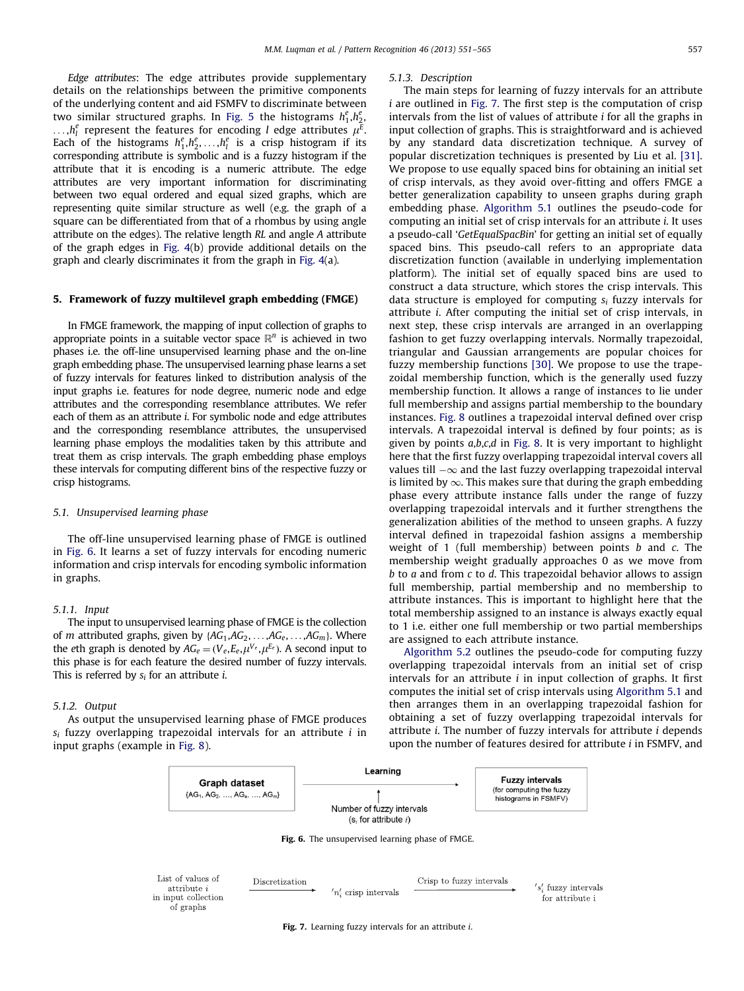<span id="page-6-0"></span>Edge attributes: The edge attributes provide supplementary details on the relationships between the primitive components of the underlying content and aid FSMFV to discriminate between two similar structured graphs. In [Fig. 5](#page-5-0) the histograms  $h_1^e, h_2^e$ ,  $\ldots$ , $h_l^e$  represent the features for encoding l edge attributes  $\mu^E$ . Each of the histograms  $h_1^e, h_2^e, \ldots, h_l^e$  is a crisp histogram if its corresponding attribute is symbolic and is a fuzzy histogram if the attribute that it is encoding is a numeric attribute. The edge attributes are very important information for discriminating between two equal ordered and equal sized graphs, which are representing quite similar structure as well (e.g. the graph of a square can be differentiated from that of a rhombus by using angle attribute on the edges). The relative length RL and angle A attribute of the graph edges in [Fig. 4](#page-4-0)(b) provide additional details on the graph and clearly discriminates it from the graph in [Fig. 4\(](#page-4-0)a).

## 5. Framework of fuzzy multilevel graph embedding (FMGE)

In FMGE framework, the mapping of input collection of graphs to appropriate points in a suitable vector space  $\mathbb{R}^n$  is achieved in two phases i.e. the off-line unsupervised learning phase and the on-line graph embedding phase. The unsupervised learning phase learns a set of fuzzy intervals for features linked to distribution analysis of the input graphs i.e. features for node degree, numeric node and edge attributes and the corresponding resemblance attributes. We refer each of them as an attribute i. For symbolic node and edge attributes and the corresponding resemblance attributes, the unsupervised learning phase employs the modalities taken by this attribute and treat them as crisp intervals. The graph embedding phase employs these intervals for computing different bins of the respective fuzzy or crisp histograms.

### 5.1. Unsupervised learning phase

The off-line unsupervised learning phase of FMGE is outlined in Fig. 6. It learns a set of fuzzy intervals for encoding numeric information and crisp intervals for encoding symbolic information in graphs.

#### 5.1.1. Input

The input to unsupervised learning phase of FMGE is the collection of *m* attributed graphs, given by  $\{AG_1, AG_2, \ldots, AG_e, \ldots, AG_m\}$ . Where the eth graph is denoted by  $AG_e = (V_e, E_e, \mu^{V_e}, \mu^{E_e})$ . A second input to this phase is for each feature the desired number of fuzzy intervals. This is referred by  $s_i$  for an attribute *i*.

#### 5.1.2. Output

As output the unsupervised learning phase of FMGE produces  $s_i$  fuzzy overlapping trapezoidal intervals for an attribute *i* in input graphs (example in [Fig. 8\)](#page-7-0).

## 5.1.3. Description

The main steps for learning of fuzzy intervals for an attribute  $i$  are outlined in Fig. 7. The first step is the computation of crisp intervals from the list of values of attribute  $i$  for all the graphs in input collection of graphs. This is straightforward and is achieved by any standard data discretization technique. A survey of popular discretization techniques is presented by Liu et al. [\[31\].](#page-14-0) We propose to use equally spaced bins for obtaining an initial set of crisp intervals, as they avoid over-fitting and offers FMGE a better generalization capability to unseen graphs during graph embedding phase. [Algorithm 5.1](#page-8-0) outlines the pseudo-code for computing an initial set of crisp intervals for an attribute i. It uses a pseudo-call 'GetEqualSpacBin' for getting an initial set of equally spaced bins. This pseudo-call refers to an appropriate data discretization function (available in underlying implementation platform). The initial set of equally spaced bins are used to construct a data structure, which stores the crisp intervals. This data structure is employed for computing  $s_i$  fuzzy intervals for attribute i. After computing the initial set of crisp intervals, in next step, these crisp intervals are arranged in an overlapping fashion to get fuzzy overlapping intervals. Normally trapezoidal, triangular and Gaussian arrangements are popular choices for fuzzy membership functions [\[30\]](#page-14-0). We propose to use the trapezoidal membership function, which is the generally used fuzzy membership function. It allows a range of instances to lie under full membership and assigns partial membership to the boundary instances. [Fig. 8](#page-7-0) outlines a trapezoidal interval defined over crisp intervals. A trapezoidal interval is defined by four points; as is given by points a,b,c,d in [Fig. 8](#page-7-0). It is very important to highlight here that the first fuzzy overlapping trapezoidal interval covers all values till  $-\infty$  and the last fuzzy overlapping trapezoidal interval is limited by  $\infty$ . This makes sure that during the graph embedding phase every attribute instance falls under the range of fuzzy overlapping trapezoidal intervals and it further strengthens the generalization abilities of the method to unseen graphs. A fuzzy interval defined in trapezoidal fashion assigns a membership weight of 1 (full membership) between points  $b$  and  $c$ . The membership weight gradually approaches 0 as we move from  $b$  to  $a$  and from  $c$  to  $d$ . This trapezoidal behavior allows to assign full membership, partial membership and no membership to attribute instances. This is important to highlight here that the total membership assigned to an instance is always exactly equal to 1 i.e. either one full membership or two partial memberships are assigned to each attribute instance.

[Algorithm 5.2](#page-8-0) outlines the pseudo-code for computing fuzzy overlapping trapezoidal intervals from an initial set of crisp intervals for an attribute  $i$  in input collection of graphs. It first computes the initial set of crisp intervals using [Algorithm 5.1](#page-8-0) and then arranges them in an overlapping trapezoidal fashion for obtaining a set of fuzzy overlapping trapezoidal intervals for attribute  $i$ . The number of fuzzy intervals for attribute  $i$  depends upon the number of features desired for attribute i in FSMFV, and



Fig. 7. Learning fuzzy intervals for an attribute i.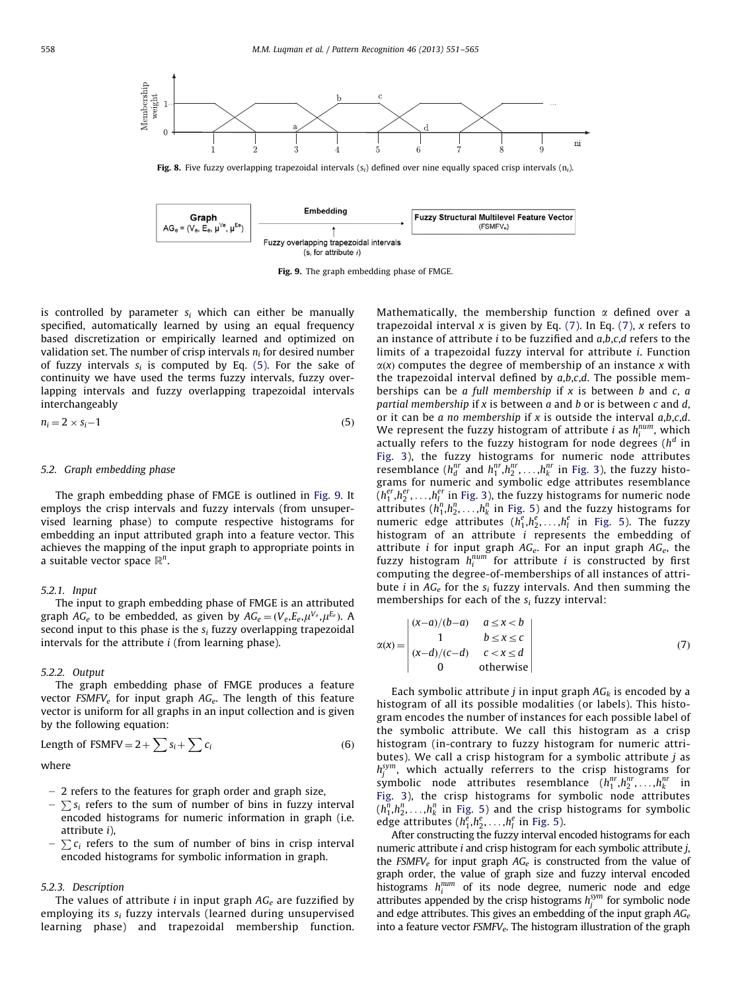<span id="page-7-0"></span>



Fig. 9. The graph embedding phase of FMGE.

is controlled by parameter  $s_i$  which can either be manually specified, automatically learned by using an equal frequency based discretization or empirically learned and optimized on validation set. The number of crisp intervals  $n_i$  for desired number of fuzzy intervals  $s_i$  is computed by Eq. (5). For the sake of continuity we have used the terms fuzzy intervals, fuzzy overlapping intervals and fuzzy overlapping trapezoidal intervals interchangeably

$$
n_i = 2 \times s_i - 1 \tag{5}
$$

#### 5.2. Graph embedding phase

The graph embedding phase of FMGE is outlined in Fig. 9. It employs the crisp intervals and fuzzy intervals (from unsupervised learning phase) to compute respective histograms for embedding an input attributed graph into a feature vector. This achieves the mapping of the input graph to appropriate points in a suitable vector space  $\mathbb{R}^n$ .

#### 5.2.1. Input

The input to graph embedding phase of FMGE is an attributed graph AG<sub>e</sub> to be embedded, as given by  $AG_e = (V_e, E_e, \mu^{V_e}, \mu^{E_e})$ . A second input to this phase is the  $s_i$  fuzzy overlapping trapezoidal intervals for the attribute  $i$  (from learning phase).

#### 5.2.2. Output

The graph embedding phase of FMGE produces a feature vector  $FSMFV_e$  for input graph  $AG_e$ . The length of this feature vector is uniform for all graphs in an input collection and is given by the following equation:

Length of FSMFV = 
$$
2 + \sum s_i + \sum c_i
$$
 (6)

where

- 2 refers to the features for graph order and graph size,
- $\overline{P}$   $\sum s_i$  refers to the sum of number of bins in fuzzy interval encoded histograms for numeric information in graph (i.e. attribute i),
- $\sum c_i$  refers to the sum of number of bins in crisp interval encoded histograms for symbolic information in graph.

#### 5.2.3. Description

The values of attribute  $i$  in input graph  $AG_e$  are fuzzified by employing its  $s_i$  fuzzy intervals (learned during unsupervised learning phase) and trapezoidal membership function. Mathematically, the membership function  $\alpha$  defined over a trapezoidal interval x is given by Eq.  $(7)$ . In Eq.  $(7)$ , x refers to an instance of attribute  $i$  to be fuzzified and  $a,b,c,d$  refers to the limits of a trapezoidal fuzzy interval for attribute i. Function  $\alpha(x)$  computes the degree of membership of an instance x with the trapezoidal interval defined by  $a,b,c,d$ . The possible memberships can be  $a$  full membership if  $x$  is between  $b$  and  $c$ ,  $a$ partial membership if x is between  $a$  and  $b$  or is between  $c$  and  $d$ , or it can be a no membership if  $x$  is outside the interval  $a,b,c,d$ . We represent the fuzzy histogram of attribute *i* as  $h_i^{num}$ , which actually refers to the fuzzy histogram for node degrees ( $h^d$  in [Fig. 3](#page-4-0)), the fuzzy histograms for numeric node attributes resemblance  $(h_d^{nr}$  and  $h_1^{nr}, h_2^{nr}, \ldots, h_k^{nr}$  in [Fig. 3](#page-4-0)), the fuzzy histograms for numeric and symbolic edge attributes resemblance  $(h_1^{er}, h_2^{er}, \ldots, h_l^{er}$  in [Fig. 3](#page-4-0)), the fuzzy histograms for numeric node attributes  $(h_1^n, h_2^n, \ldots, h_k^n$  in [Fig. 5\)](#page-5-0) and the fuzzy histograms for numeric edge attributes  $(h_1^e, h_2^e, \ldots, h_l^e$  in [Fig. 5](#page-5-0)). The fuzzy histogram of an attribute i represents the embedding of attribute *i* for input graph  $AG_e$ . For an input graph  $AG_e$ , the fuzzy histogram  $h_i^{num}$  for attribute *i* is constructed by first computing the degree-of-memberships of all instances of attribute *i* in  $AG_e$  for the  $s_i$  fuzzy intervals. And then summing the memberships for each of the  $s_i$  fuzzy interval:

$$
\alpha(x) = \begin{vmatrix}\n(x-a)/(b-a) & a \le x < b \\
1 & b \le x \le c \\
(x-d)/(c-d) & c < x \le d \\
0 & \text{otherwise}\n\end{vmatrix}
$$
\n(7)

Each symbolic attribute *j* in input graph  $AG_k$  is encoded by a histogram of all its possible modalities (or labels). This histogram encodes the number of instances for each possible label of the symbolic attribute. We call this histogram as a crisp histogram (in-contrary to fuzzy histogram for numeric attributes). We call a crisp histogram for a symbolic attribute  $j$  as  $h_j^{sym}$ , which actually referrers to the crisp histograms for symbolic node attributes resemblance  $(h_1^{nr}, h_2^{nr}, \ldots, h_k^{nr}$  in [Fig. 3](#page-4-0)), the crisp histograms for symbolic node attributes  $(h_1^n, h_2^n, \ldots, h_k^n$  in [Fig. 5](#page-5-0)) and the crisp histograms for symbolic edge attributes  $(h_1^e, h_2^e, \ldots, h_l^e)$  in [Fig. 5\)](#page-5-0).

After constructing the fuzzy interval encoded histograms for each numeric attribute *i* and crisp histogram for each symbolic attribute *j*, the FSMFV<sub>e</sub> for input graph  $AG_e$  is constructed from the value of graph order, the value of graph size and fuzzy interval encoded histograms  $h_i^{num}$  of its node degree, numeric node and edge attributes appended by the crisp histograms  $h_j^{sym}$  for symbolic node and edge attributes. This gives an embedding of the input graph  $AG_e$ into a feature vector FSMFV<sub>e</sub>. The histogram illustration of the graph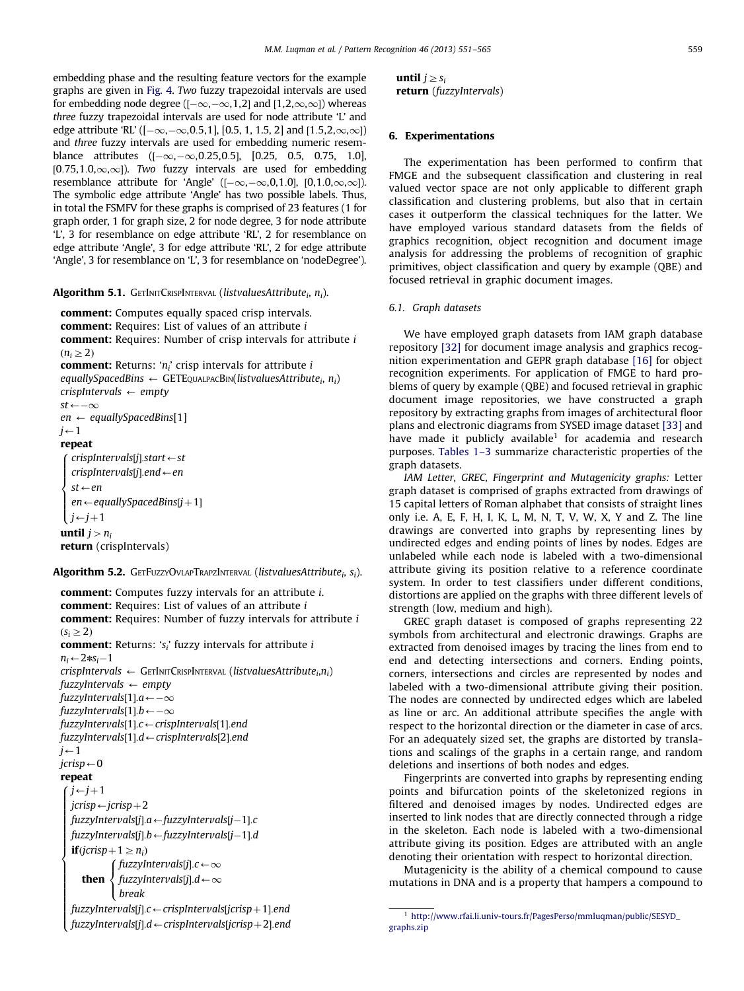<span id="page-8-0"></span>embedding phase and the resulting feature vectors for the example graphs are given in [Fig. 4.](#page-4-0) Two fuzzy trapezoidal intervals are used for embedding node degree  $([-\infty,-\infty,1,2]$  and  $[1,2,\infty,\infty]$ ) whereas three fuzzy trapezoidal intervals are used for node attribute 'L' and edge attribute 'RL'  $([-\infty,-\infty,0.5,1], [0.5, 1, 1.5, 2]$  and  $[1.5,2,\infty,\infty])$ and three fuzzy intervals are used for embedding numeric resemblance attributes  $([- \infty, -\infty, 0.25, 0.5], [0.25, 0.5, 0.75, 1.0],$ [0.75,1.0, $\infty$ , $\infty$ ]). Two fuzzy intervals are used for embedding resemblance attribute for 'Angle'  $([-\infty,-\infty,0,1.0], [0,1.0,\infty,\infty])$ . The symbolic edge attribute 'Angle' has two possible labels. Thus, in total the FSMFV for these graphs is comprised of 23 features (1 for graph order, 1 for graph size, 2 for node degree, 3 for node attribute 'L', 3 for resemblance on edge attribute 'RL', 2 for resemblance on edge attribute 'Angle', 3 for edge attribute 'RL', 2 for edge attribute 'Angle', 3 for resemblance on 'L', 3 for resemblance on 'nodeDegree').

# **Algorithm 5.1.** GETINITCRISPINTERVAL (listvaluesAttribute<sub>i</sub>,  $n_i$ ).

comment: Computes equally spaced crisp intervals. comment: Requires: List of values of an attribute i comment: Requires: Number of crisp intervals for attribute i  $(n_i \geq 2)$ 

```
comment: Returns: 'n_i' crisp intervals for attribute i
equallySpacedBins \leftarrow GETEQUALPACBIN(listvaluesAttribute<sub>i</sub>, n_i)
crispIntervals \leftarrow empty
st \leftarrow -\inftyen \leftarrow equallySpacedBins[1]
i\leftarrow 1repeat
   crispIntervals[j].start\leftarrowst
   crispIntervals[j].end\leftarrowen
   st \leftarrow enen \leftarrow equallySpacedBins[j + 1]
\begin{cases} en \leftarrow eq \\ j \leftarrow j+1 \end{cases}\epsilon\Big\}until j > n_ireturn (crispIntervals)
```
**Algorithm 5.2.** GETFUZZYOVLAPTRAPZINTERVAL (listvaluesAttribute<sub>i</sub>,  $s_i$ ).

comment: Computes fuzzy intervals for an attribute i. comment: Requires: List of values of an attribute *i* comment: Requires: Number of fuzzy intervals for attribute i  $(s_i \geq 2)$ **comment:** Returns: ' $s_i$ ' fuzzy intervals for attribute  $i$  $n_i \leftarrow 2*s_i-1$  $crisplntervals \leftarrow GETINTCRISPINTERVAL}$  (listvaluesAttribute<sub>i</sub>,n<sub>i</sub>) fuzzyIntervals  $\leftarrow$  empty fuzzyIntervals[1]. $a \leftarrow -\infty$ fuzzyIntervals $[1].b \leftarrow -\infty$  $fuzzy Intervals[1].c \leftarrow crisp Intervals[1].end$  $fuzzy Intervals[1].d \leftarrow crisp Intervals[2].end$  $i\leftarrow 1$  $i$ crisp $\leftarrow$ 0 repeat  $(j \leftarrow j+1)$  $i$ crisp $\leftarrow$  $i$ crisp $+2$  $fuzzy Intervals[j].a \leftarrow fuzzy Intervals[j-1].c$  $fuzzy Intervals[j].b \leftarrow fuzzy Intervals[j-1].d$ **if** $(jcrisp+1\geq n_i)$ then  $\int fuzzy Intervals[j].c \leftarrow \infty$ fuzzyIntervals[j]. $d \leftarrow \infty$  $\int$  break fuzzyIntervals[j]. $c \leftarrow$  crispIntervals[jcrisp + 1].end fuzzyIntervals[j].d  $\leftarrow$  crispIntervals[jcrisp + 2].end |<br>|<br>|<br>|<br>|<br>|<br>| >>>>>>>>>>>>>>>>>>>:

# until  $j \geq s_i$ return (fuzzyIntervals)

# 6. Experimentations

The experimentation has been performed to confirm that FMGE and the subsequent classification and clustering in real valued vector space are not only applicable to different graph classification and clustering problems, but also that in certain cases it outperform the classical techniques for the latter. We have employed various standard datasets from the fields of graphics recognition, object recognition and document image analysis for addressing the problems of recognition of graphic primitives, object classification and query by example (QBE) and focused retrieval in graphic document images.

# 6.1. Graph datasets

We have employed graph datasets from IAM graph database repository [\[32\]](#page-14-0) for document image analysis and graphics recognition experimentation and GEPR graph database [\[16\]](#page-13-0) for object recognition experiments. For application of FMGE to hard problems of query by example (QBE) and focused retrieval in graphic document image repositories, we have constructed a graph repository by extracting graphs from images of architectural floor plans and electronic diagrams from SYSED image dataset [\[33\]](#page-14-0) and have made it publicly available<sup>1</sup> for academia and research purposes. [Tables 1–3](#page-9-0) summarize characteristic properties of the graph datasets.

IAM Letter, GREC, Fingerprint and Mutagenicity graphs: Letter graph dataset is comprised of graphs extracted from drawings of 15 capital letters of Roman alphabet that consists of straight lines only i.e. A, E, F, H, I, K, L, M, N, T, V, W, X, Y and Z. The line drawings are converted into graphs by representing lines by undirected edges and ending points of lines by nodes. Edges are unlabeled while each node is labeled with a two-dimensional attribute giving its position relative to a reference coordinate system. In order to test classifiers under different conditions, distortions are applied on the graphs with three different levels of strength (low, medium and high).

GREC graph dataset is composed of graphs representing 22 symbols from architectural and electronic drawings. Graphs are extracted from denoised images by tracing the lines from end to end and detecting intersections and corners. Ending points, corners, intersections and circles are represented by nodes and labeled with a two-dimensional attribute giving their position. The nodes are connected by undirected edges which are labeled as line or arc. An additional attribute specifies the angle with respect to the horizontal direction or the diameter in case of arcs. For an adequately sized set, the graphs are distorted by translations and scalings of the graphs in a certain range, and random deletions and insertions of both nodes and edges.

Fingerprints are converted into graphs by representing ending points and bifurcation points of the skeletonized regions in filtered and denoised images by nodes. Undirected edges are inserted to link nodes that are directly connected through a ridge in the skeleton. Each node is labeled with a two-dimensional attribute giving its position. Edges are attributed with an angle denoting their orientation with respect to horizontal direction.

Mutagenicity is the ability of a chemical compound to cause mutations in DNA and is a property that hampers a compound to

 $^{\rm 1}$ [http://www.rfai.li.univ-tours.fr/PagesPerso/mmluqman/public/SESYD\\_](http://www.rfai.li.univ-tours.fr/PagesPerso/mmluqman/public/SESYD_graphs.zip) [graphs.zip](http://www.rfai.li.univ-tours.fr/PagesPerso/mmluqman/public/SESYD_graphs.zip)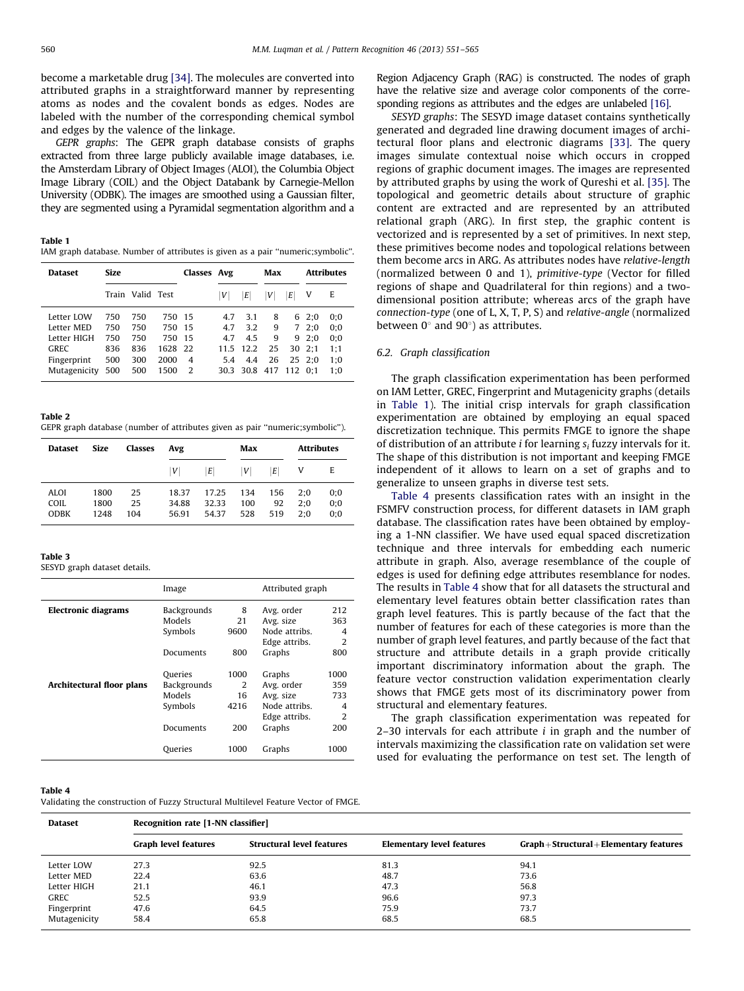<span id="page-9-0"></span>become a marketable drug [\[34\].](#page-14-0) The molecules are converted into attributed graphs in a straightforward manner by representing atoms as nodes and the covalent bonds as edges. Nodes are labeled with the number of the corresponding chemical symbol and edges by the valence of the linkage.

GEPR graphs: The GEPR graph database consists of graphs extracted from three large publicly available image databases, i.e. the Amsterdam Library of Object Images (ALOI), the Columbia Object Image Library (COIL) and the Object Databank by Carnegie-Mellon University (ODBK). The images are smoothed using a Gaussian filter, they are segmented using a Pyramidal segmentation algorithm and a

#### Table 1

|  |  |  |  |  |  |  |  |  |  |  |  | lAM graph database. Number of attributes is given as a pair "numeric; symbolic". |  |  |  |  |
|--|--|--|--|--|--|--|--|--|--|--|--|----------------------------------------------------------------------------------|--|--|--|--|
|--|--|--|--|--|--|--|--|--|--|--|--|----------------------------------------------------------------------------------|--|--|--|--|

| <b>Dataset</b> | <b>Size</b> |                  |         | Classes Avg   |      |                | Max |     |        | <b>Attributes</b> |
|----------------|-------------|------------------|---------|---------------|------|----------------|-----|-----|--------|-------------------|
|                |             | Train Valid Test |         |               | V    | E <sup>1</sup> | V   | E   | V      | E                 |
| Letter LOW     | 750         | 750              | 750 15  |               | 4.7  | 3.1            | 8   |     | 62:0   | 0:0               |
| Letter MED     | 750         | 750              | 750     | - 15          | 4.7  | 3.2            | 9   | 7   | 2:0    | 0:0               |
| Letter HIGH    | 750         | 750              | 750     | - 15          | 4.7  | 4.5            | 9   |     | 92:0   | 0:0               |
| GREC           | 836         | 836              | 1628 22 |               |      | 11.5 12.2      | 25  | 30  | 2:1    | 1:1               |
| Fingerprint    | 500         | 300              | 2000    | 4             | 5.4  | 4.4            | 26  |     | 25 2:0 | 1:0               |
| Mutagenicity   | 500         | 500              | 1500    | $\mathcal{P}$ | 30.3 | 30.8           | 417 | 112 | 0:1    | 1:0               |

| Table 2                                                                       |  |  |  |
|-------------------------------------------------------------------------------|--|--|--|
| GEPR graph database (number of attributes given as pair "numeric; symbolic"). |  |  |  |

| <b>Dataset</b>                     | <b>Size</b>          | <b>Classes</b>  | Avg                     |                         | Max               |                  | <b>Attributes</b> |                   |
|------------------------------------|----------------------|-----------------|-------------------------|-------------------------|-------------------|------------------|-------------------|-------------------|
|                                    |                      |                 | IV.                     | E                       | V                 | $E^{\dagger}$    | V                 | E                 |
| <b>ALOI</b><br>COIL<br><b>ODBK</b> | 1800<br>1800<br>1248 | 25<br>25<br>104 | 18.37<br>34.88<br>56.91 | 17.25<br>32.33<br>54.37 | 134<br>100<br>528 | 156<br>92<br>519 | 2:0<br>2:0<br>2:0 | 0:0<br>0:0<br>0:0 |

#### Table 3

Table 2

SESYD graph dataset details.

|                           | Image              |      | Attributed graph |                |
|---------------------------|--------------------|------|------------------|----------------|
| Electronic diagrams       | <b>Backgrounds</b> | 8    | Avg. order       | 212            |
|                           | Models             | 21   | Avg. size        | 363            |
|                           | Symbols            | 9600 | Node attribs.    | 4              |
|                           |                    |      | Edge attribs.    | $\overline{2}$ |
|                           | Documents          | 800  | Graphs           | 800            |
|                           | Queries            | 1000 | Graphs           | 1000           |
| Architectural floor plans | Backgrounds        | 2    | Avg. order       | 359            |
|                           | Models             | 16   | Avg. size        | 733            |
|                           | Symbols            | 4216 | Node attribs.    | $\overline{4}$ |
|                           |                    |      | Edge attribs.    | $\overline{2}$ |
|                           | Documents          | 200  | Graphs           | 200            |
|                           | Oueries            | 1000 | Graphs           | 1000           |

#### Table 4

Validating the construction of Fuzzy Structural Multilevel Feature Vector of FMGE.

Region Adjacency Graph (RAG) is constructed. The nodes of graph have the relative size and average color components of the corresponding regions as attributes and the edges are unlabeled [\[16\].](#page-13-0)

SESYD graphs: The SESYD image dataset contains synthetically generated and degraded line drawing document images of architectural floor plans and electronic diagrams [\[33\]](#page-14-0). The query images simulate contextual noise which occurs in cropped regions of graphic document images. The images are represented by attributed graphs by using the work of Qureshi et al. [\[35\]](#page-14-0). The topological and geometric details about structure of graphic content are extracted and are represented by an attributed relational graph (ARG). In first step, the graphic content is vectorized and is represented by a set of primitives. In next step, these primitives become nodes and topological relations between them become arcs in ARG. As attributes nodes have relative-length (normalized between 0 and 1), primitive-type (Vector for filled regions of shape and Quadrilateral for thin regions) and a twodimensional position attribute; whereas arcs of the graph have connection-type (one of L, X, T, P, S) and relative-angle (normalized between  $0^{\circ}$  and  $90^{\circ}$ ) as attributes.

#### 6.2. Graph classification

The graph classification experimentation has been performed on IAM Letter, GREC, Fingerprint and Mutagenicity graphs (details in Table 1). The initial crisp intervals for graph classification experimentation are obtained by employing an equal spaced discretization technique. This permits FMGE to ignore the shape of distribution of an attribute *i* for learning  $s_i$  fuzzy intervals for it. The shape of this distribution is not important and keeping FMGE independent of it allows to learn on a set of graphs and to generalize to unseen graphs in diverse test sets.

Table 4 presents classification rates with an insight in the FSMFV construction process, for different datasets in IAM graph database. The classification rates have been obtained by employing a 1-NN classifier. We have used equal spaced discretization technique and three intervals for embedding each numeric attribute in graph. Also, average resemblance of the couple of edges is used for defining edge attributes resemblance for nodes. The results in Table 4 show that for all datasets the structural and elementary level features obtain better classification rates than graph level features. This is partly because of the fact that the number of features for each of these categories is more than the number of graph level features, and partly because of the fact that structure and attribute details in a graph provide critically important discriminatory information about the graph. The feature vector construction validation experimentation clearly shows that FMGE gets most of its discriminatory power from structural and elementary features.

The graph classification experimentation was repeated for 2–30 intervals for each attribute  $i$  in graph and the number of intervals maximizing the classification rate on validation set were used for evaluating the performance on test set. The length of

| <b>Dataset</b> | Recognition rate [1-NN classifier] |                                  |                                  |                                            |  |  |  |  |
|----------------|------------------------------------|----------------------------------|----------------------------------|--------------------------------------------|--|--|--|--|
|                | <b>Graph level features</b>        | <b>Structural level features</b> | <b>Elementary level features</b> | $Graph + Structural + Elementary features$ |  |  |  |  |
| Letter LOW     | 27.3                               | 92.5                             | 81.3                             | 94.1                                       |  |  |  |  |
| Letter MED     | 22.4                               | 63.6                             | 48.7                             | 73.6                                       |  |  |  |  |
| Letter HIGH    | 21.1                               | 46.1                             | 47.3                             | 56.8                                       |  |  |  |  |
| GREC           | 52.5                               | 93.9                             | 96.6                             | 97.3                                       |  |  |  |  |
| Fingerprint    | 47.6                               | 64.5                             | 75.9                             | 73.7                                       |  |  |  |  |
| Mutagenicity   | 58.4                               | 65.8                             | 68.5                             | 68.5                                       |  |  |  |  |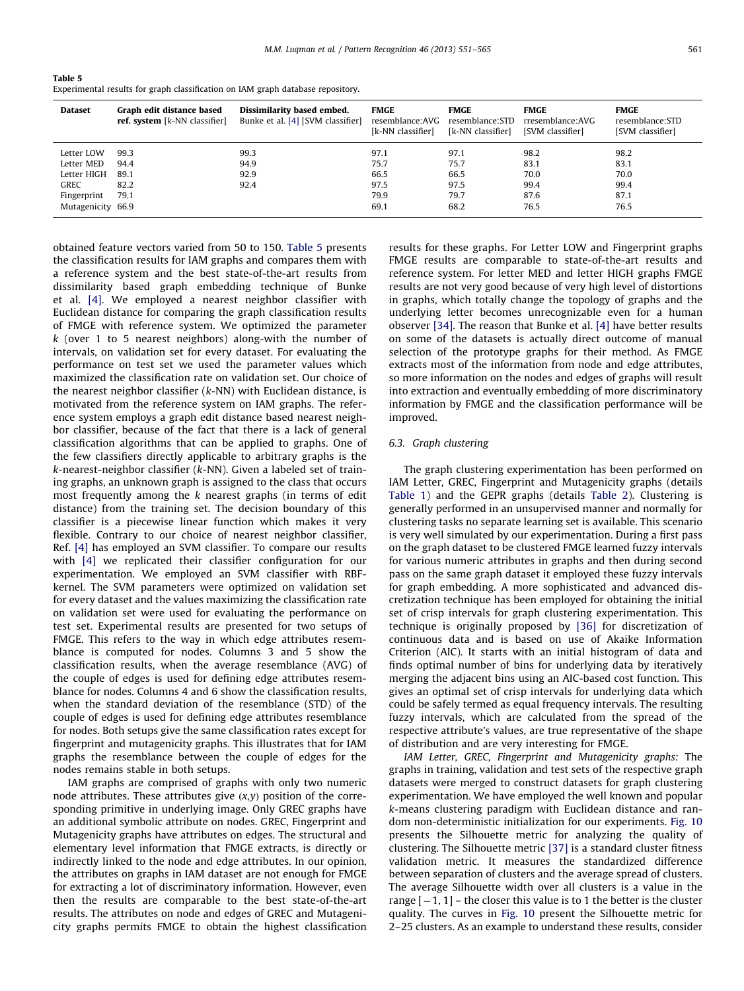|--|--|

Experimental results for graph classification on IAM graph database repository.

| <b>Dataset</b> | Graph edit distance based<br>ref. system $[k-NN]$ classifier | Dissimilarity based embed.<br>Bunke et al. [4] [SVM classifier] | <b>FMGE</b><br>resemblance:AVG<br>[k-NN classifier] | <b>FMGE</b><br>resemblance:STD<br>[k-NN classifier] | <b>FMGE</b><br>rresemblance:AVG<br>[SVM classifier] | <b>FMGE</b><br>resemblance:STD<br>[SVM classifier] |
|----------------|--------------------------------------------------------------|-----------------------------------------------------------------|-----------------------------------------------------|-----------------------------------------------------|-----------------------------------------------------|----------------------------------------------------|
| Letter LOW     | 99.3                                                         | 99.3                                                            | 97.1                                                | 97.1                                                | 98.2                                                | 98.2                                               |
| Letter MED     | 94.4                                                         | 94.9                                                            | 75.7                                                | 75.7                                                | 83.1                                                | 83.1                                               |
| Letter HIGH    | 89.1                                                         | 92.9                                                            | 66.5                                                | 66.5                                                | 70.0                                                | 70.0                                               |
| <b>GREC</b>    | 82.2                                                         | 92.4                                                            | 97.5                                                | 97.5                                                | 99.4                                                | 99.4                                               |
| Fingerprint    | 79.1                                                         |                                                                 | 79.9                                                | 79.7                                                | 87.6                                                | 87.1                                               |
| Mutagenicity   | 66.9                                                         |                                                                 | 69.1                                                | 68.2                                                | 76.5                                                | 76.5                                               |

obtained feature vectors varied from 50 to 150. Table 5 presents the classification results for IAM graphs and compares them with a reference system and the best state-of-the-art results from dissimilarity based graph embedding technique of Bunke et al. [\[4\]](#page-13-0). We employed a nearest neighbor classifier with Euclidean distance for comparing the graph classification results of FMGE with reference system. We optimized the parameter k (over 1 to 5 nearest neighbors) along-with the number of intervals, on validation set for every dataset. For evaluating the performance on test set we used the parameter values which maximized the classification rate on validation set. Our choice of the nearest neighbor classifier (k-NN) with Euclidean distance, is motivated from the reference system on IAM graphs. The reference system employs a graph edit distance based nearest neighbor classifier, because of the fact that there is a lack of general classification algorithms that can be applied to graphs. One of the few classifiers directly applicable to arbitrary graphs is the k-nearest-neighbor classifier (k-NN). Given a labeled set of training graphs, an unknown graph is assigned to the class that occurs most frequently among the k nearest graphs (in terms of edit distance) from the training set. The decision boundary of this classifier is a piecewise linear function which makes it very flexible. Contrary to our choice of nearest neighbor classifier, Ref. [\[4\]](#page-13-0) has employed an SVM classifier. To compare our results with [\[4\]](#page-13-0) we replicated their classifier configuration for our experimentation. We employed an SVM classifier with RBFkernel. The SVM parameters were optimized on validation set for every dataset and the values maximizing the classification rate on validation set were used for evaluating the performance on test set. Experimental results are presented for two setups of FMGE. This refers to the way in which edge attributes resemblance is computed for nodes. Columns 3 and 5 show the classification results, when the average resemblance (AVG) of the couple of edges is used for defining edge attributes resemblance for nodes. Columns 4 and 6 show the classification results, when the standard deviation of the resemblance (STD) of the couple of edges is used for defining edge attributes resemblance for nodes. Both setups give the same classification rates except for fingerprint and mutagenicity graphs. This illustrates that for IAM graphs the resemblance between the couple of edges for the nodes remains stable in both setups.

IAM graphs are comprised of graphs with only two numeric node attributes. These attributes give  $(x, y)$  position of the corresponding primitive in underlying image. Only GREC graphs have an additional symbolic attribute on nodes. GREC, Fingerprint and Mutagenicity graphs have attributes on edges. The structural and elementary level information that FMGE extracts, is directly or indirectly linked to the node and edge attributes. In our opinion, the attributes on graphs in IAM dataset are not enough for FMGE for extracting a lot of discriminatory information. However, even then the results are comparable to the best state-of-the-art results. The attributes on node and edges of GREC and Mutagenicity graphs permits FMGE to obtain the highest classification results for these graphs. For Letter LOW and Fingerprint graphs FMGE results are comparable to state-of-the-art results and reference system. For letter MED and letter HIGH graphs FMGE results are not very good because of very high level of distortions in graphs, which totally change the topology of graphs and the underlying letter becomes unrecognizable even for a human observer [\[34\].](#page-14-0) The reason that Bunke et al. [\[4\]](#page-13-0) have better results on some of the datasets is actually direct outcome of manual selection of the prototype graphs for their method. As FMGE extracts most of the information from node and edge attributes, so more information on the nodes and edges of graphs will result into extraction and eventually embedding of more discriminatory information by FMGE and the classification performance will be improved.

### 6.3. Graph clustering

The graph clustering experimentation has been performed on IAM Letter, GREC, Fingerprint and Mutagenicity graphs (details [Table 1\)](#page-9-0) and the GEPR graphs (details [Table 2](#page-9-0)). Clustering is generally performed in an unsupervised manner and normally for clustering tasks no separate learning set is available. This scenario is very well simulated by our experimentation. During a first pass on the graph dataset to be clustered FMGE learned fuzzy intervals for various numeric attributes in graphs and then during second pass on the same graph dataset it employed these fuzzy intervals for graph embedding. A more sophisticated and advanced discretization technique has been employed for obtaining the initial set of crisp intervals for graph clustering experimentation. This technique is originally proposed by [\[36\]](#page-14-0) for discretization of continuous data and is based on use of Akaike Information Criterion (AIC). It starts with an initial histogram of data and finds optimal number of bins for underlying data by iteratively merging the adjacent bins using an AIC-based cost function. This gives an optimal set of crisp intervals for underlying data which could be safely termed as equal frequency intervals. The resulting fuzzy intervals, which are calculated from the spread of the respective attribute's values, are true representative of the shape of distribution and are very interesting for FMGE.

IAM Letter, GREC, Fingerprint and Mutagenicity graphs: The graphs in training, validation and test sets of the respective graph datasets were merged to construct datasets for graph clustering experimentation. We have employed the well known and popular k-means clustering paradigm with Euclidean distance and random non-deterministic initialization for our experiments. [Fig. 10](#page-11-0) presents the Silhouette metric for analyzing the quality of clustering. The Silhouette metric [\[37\]](#page-14-0) is a standard cluster fitness validation metric. It measures the standardized difference between separation of clusters and the average spread of clusters. The average Silhouette width over all clusters is a value in the range  $[-1, 1]$  – the closer this value is to 1 the better is the cluster quality. The curves in [Fig. 10](#page-11-0) present the Silhouette metric for 2–25 clusters. As an example to understand these results, consider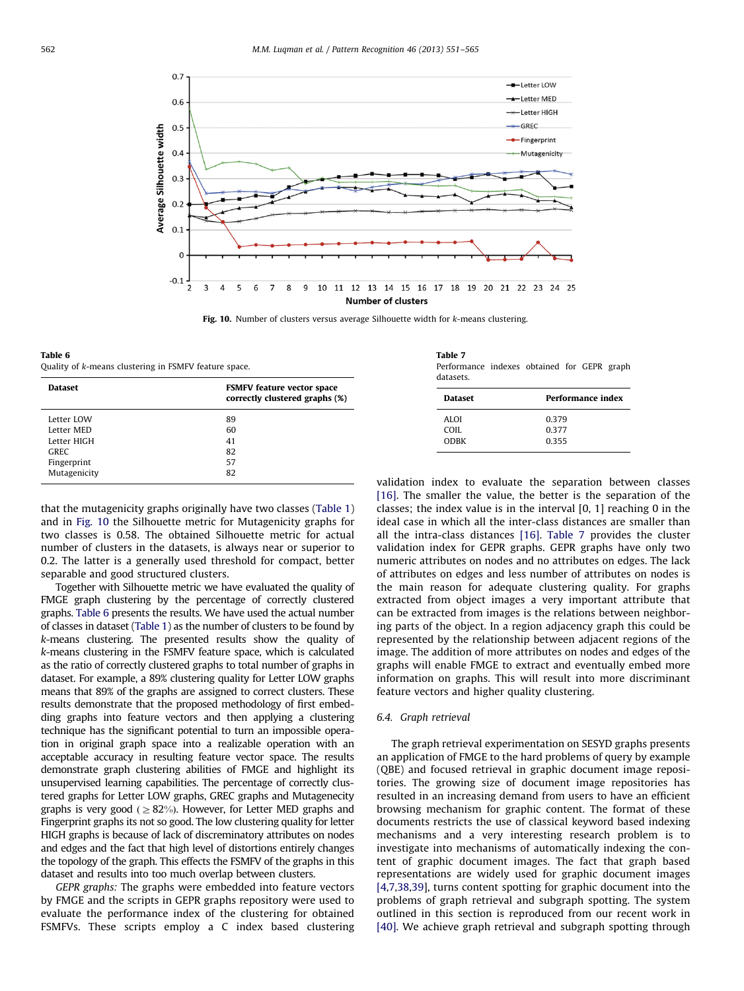<span id="page-11-0"></span>

Fig. 10. Number of clusters versus average Silhouette width for k-means clustering.

Table 6 Quality of k-means clustering in FSMFV feature space.

| Performance indexes obtained for GEPR graph |  |  |  |
|---------------------------------------------|--|--|--|
| datasets.                                   |  |  |  |
|                                             |  |  |  |

Table 7

| Dataset<br><b>FSMFV feature vector space</b><br>correctly clustered graphs (%)<br>89<br>60<br>41 | <b>Dataset</b> | Performance index |       |  |  |  |  |
|--------------------------------------------------------------------------------------------------|----------------|-------------------|-------|--|--|--|--|
| Letter LOW                                                                                       |                | ALOI              | 0.379 |  |  |  |  |
| Letter MED                                                                                       |                | COIL              | 0.377 |  |  |  |  |
| Letter HIGH                                                                                      |                | <b>ODBK</b>       | 0.355 |  |  |  |  |
| GREC                                                                                             | 82             |                   |       |  |  |  |  |
| Fingerprint                                                                                      | 57             |                   |       |  |  |  |  |
| Mutagenicity                                                                                     | 82             |                   |       |  |  |  |  |
|                                                                                                  |                |                   |       |  |  |  |  |

that the mutagenicity graphs originally have two classes [\(Table 1\)](#page-9-0) and in Fig. 10 the Silhouette metric for Mutagenicity graphs for two classes is 0.58. The obtained Silhouette metric for actual number of clusters in the datasets, is always near or superior to 0.2. The latter is a generally used threshold for compact, better separable and good structured clusters.

Together with Silhouette metric we have evaluated the quality of FMGE graph clustering by the percentage of correctly clustered graphs. Table 6 presents the results. We have used the actual number of classes in dataset [\(Table 1](#page-9-0)) as the number of clusters to be found by k-means clustering. The presented results show the quality of k-means clustering in the FSMFV feature space, which is calculated as the ratio of correctly clustered graphs to total number of graphs in dataset. For example, a 89% clustering quality for Letter LOW graphs means that 89% of the graphs are assigned to correct clusters. These results demonstrate that the proposed methodology of first embedding graphs into feature vectors and then applying a clustering technique has the significant potential to turn an impossible operation in original graph space into a realizable operation with an acceptable accuracy in resulting feature vector space. The results demonstrate graph clustering abilities of FMGE and highlight its unsupervised learning capabilities. The percentage of correctly clustered graphs for Letter LOW graphs, GREC graphs and Mutagenecity graphs is very good ( $\geq$  82%). However, for Letter MED graphs and Fingerprint graphs its not so good. The low clustering quality for letter HIGH graphs is because of lack of discreminatory attributes on nodes and edges and the fact that high level of distortions entirely changes the topology of the graph. This effects the FSMFV of the graphs in this dataset and results into too much overlap between clusters.

GEPR graphs: The graphs were embedded into feature vectors by FMGE and the scripts in GEPR graphs repository were used to evaluate the performance index of the clustering for obtained FSMFVs. These scripts employ a C index based clustering validation index to evaluate the separation between classes [\[16\]](#page-13-0). The smaller the value, the better is the separation of the classes; the index value is in the interval [0, 1] reaching 0 in the ideal case in which all the inter-class distances are smaller than all the intra-class distances [\[16\]](#page-13-0). Table 7 provides the cluster validation index for GEPR graphs. GEPR graphs have only two numeric attributes on nodes and no attributes on edges. The lack of attributes on edges and less number of attributes on nodes is the main reason for adequate clustering quality. For graphs extracted from object images a very important attribute that can be extracted from images is the relations between neighboring parts of the object. In a region adjacency graph this could be represented by the relationship between adjacent regions of the image. The addition of more attributes on nodes and edges of the graphs will enable FMGE to extract and eventually embed more information on graphs. This will result into more discriminant feature vectors and higher quality clustering.

## 6.4. Graph retrieval

The graph retrieval experimentation on SESYD graphs presents an application of FMGE to the hard problems of query by example (QBE) and focused retrieval in graphic document image repositories. The growing size of document image repositories has resulted in an increasing demand from users to have an efficient browsing mechanism for graphic content. The format of these documents restricts the use of classical keyword based indexing mechanisms and a very interesting research problem is to investigate into mechanisms of automatically indexing the content of graphic document images. The fact that graph based representations are widely used for graphic document images [\[4,7](#page-13-0)[,38,39](#page-14-0)], turns content spotting for graphic document into the problems of graph retrieval and subgraph spotting. The system outlined in this section is reproduced from our recent work in [\[40\]](#page-14-0). We achieve graph retrieval and subgraph spotting through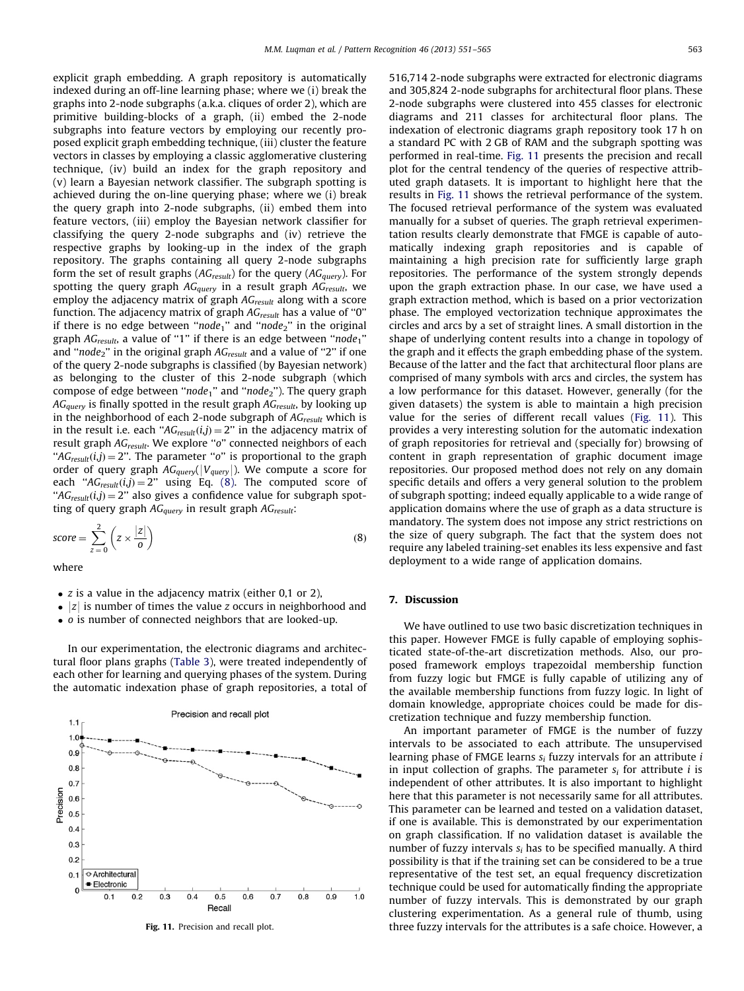<span id="page-12-0"></span>explicit graph embedding. A graph repository is automatically indexed during an off-line learning phase; where we (i) break the graphs into 2-node subgraphs (a.k.a. cliques of order 2), which are primitive building-blocks of a graph, (ii) embed the 2-node subgraphs into feature vectors by employing our recently proposed explicit graph embedding technique, (iii) cluster the feature vectors in classes by employing a classic agglomerative clustering technique, (iv) build an index for the graph repository and (v) learn a Bayesian network classifier. The subgraph spotting is achieved during the on-line querying phase; where we (i) break the query graph into 2-node subgraphs, (ii) embed them into feature vectors, (iii) employ the Bayesian network classifier for classifying the query 2-node subgraphs and (iv) retrieve the respective graphs by looking-up in the index of the graph repository. The graphs containing all query 2-node subgraphs form the set of result graphs ( $AG_{result}$ ) for the query ( $AG_{query}$ ). For spotting the query graph  $AG<sub>query</sub>$  in a result graph  $AG<sub>result</sub>$ , we employ the adjacency matrix of graph  $AG_{result}$  along with a score function. The adjacency matrix of graph  $AG_{result}$  has a value of "0" if there is no edge between " $node_1$ " and " $node_2$ " in the original graph  $AG_{result}$ , a value of "1" if there is an edge between "node<sub>1</sub>" and "node<sub>2</sub>" in the original graph  $AG_{result}$  and a value of "2" if one of the query 2-node subgraphs is classified (by Bayesian network) as belonging to the cluster of this 2-node subgraph (which compose of edge between " $node_1$ " and " $node_2$ "). The query graph  $AG<sub>query</sub>$  is finally spotted in the result graph  $AG<sub>result</sub>$ , by looking up in the neighborhood of each 2-node subgraph of  $AG_{result}$  which is in the result i.e. each " $AG_{result}(i,j) = 2$ " in the adjacency matrix of result graph AG<sub>result</sub>. We explore "o" connected neighbors of each " $AG_{result}(i,j) = 2$ ". The parameter "o" is proportional to the graph order of query graph  $AG_{query}(|V_{query}|)$ . We compute a score for each " $AG_{result}(i,j) = 2$ " using Eq. (8). The computed score of " $AG_{result}(i,j) = 2$ " also gives a confidence value for subgraph spotting of query graph  $AG<sub>query</sub>$  in result graph  $AG<sub>result</sub>$ :

$$
score = \sum_{z=0}^{2} \left( z \times \frac{|z|}{o} \right) \tag{8}
$$

where

- *z* is a value in the adjacency matrix (either 0,1 or 2),
- $\bullet$  |z| is number of times the value z occurs in neighborhood and
- o is number of connected neighbors that are looked-up.

In our experimentation, the electronic diagrams and architectural floor plans graphs [\(Table 3\)](#page-9-0), were treated independently of each other for learning and querying phases of the system. During the automatic indexation phase of graph repositories, a total of



516,714 2-node subgraphs were extracted for electronic diagrams and 305,824 2-node subgraphs for architectural floor plans. These 2-node subgraphs were clustered into 455 classes for electronic diagrams and 211 classes for architectural floor plans. The indexation of electronic diagrams graph repository took 17 h on a standard PC with 2 GB of RAM and the subgraph spotting was performed in real-time. Fig. 11 presents the precision and recall plot for the central tendency of the queries of respective attributed graph datasets. It is important to highlight here that the results in Fig. 11 shows the retrieval performance of the system. The focused retrieval performance of the system was evaluated manually for a subset of queries. The graph retrieval experimentation results clearly demonstrate that FMGE is capable of automatically indexing graph repositories and is capable of maintaining a high precision rate for sufficiently large graph repositories. The performance of the system strongly depends upon the graph extraction phase. In our case, we have used a graph extraction method, which is based on a prior vectorization phase. The employed vectorization technique approximates the circles and arcs by a set of straight lines. A small distortion in the shape of underlying content results into a change in topology of the graph and it effects the graph embedding phase of the system. Because of the latter and the fact that architectural floor plans are comprised of many symbols with arcs and circles, the system has a low performance for this dataset. However, generally (for the given datasets) the system is able to maintain a high precision value for the series of different recall values (Fig. 11). This provides a very interesting solution for the automatic indexation of graph repositories for retrieval and (specially for) browsing of content in graph representation of graphic document image repositories. Our proposed method does not rely on any domain specific details and offers a very general solution to the problem of subgraph spotting; indeed equally applicable to a wide range of application domains where the use of graph as a data structure is mandatory. The system does not impose any strict restrictions on the size of query subgraph. The fact that the system does not require any labeled training-set enables its less expensive and fast deployment to a wide range of application domains.

#### 7. Discussion

We have outlined to use two basic discretization techniques in this paper. However FMGE is fully capable of employing sophisticated state-of-the-art discretization methods. Also, our proposed framework employs trapezoidal membership function from fuzzy logic but FMGE is fully capable of utilizing any of the available membership functions from fuzzy logic. In light of domain knowledge, appropriate choices could be made for discretization technique and fuzzy membership function.

An important parameter of FMGE is the number of fuzzy intervals to be associated to each attribute. The unsupervised learning phase of FMGE learns  $s_i$  fuzzy intervals for an attribute  $i$ in input collection of graphs. The parameter  $s_i$  for attribute *i* is independent of other attributes. It is also important to highlight here that this parameter is not necessarily same for all attributes. This parameter can be learned and tested on a validation dataset, if one is available. This is demonstrated by our experimentation on graph classification. If no validation dataset is available the number of fuzzy intervals  $s_i$  has to be specified manually. A third possibility is that if the training set can be considered to be a true representative of the test set, an equal frequency discretization technique could be used for automatically finding the appropriate number of fuzzy intervals. This is demonstrated by our graph clustering experimentation. As a general rule of thumb, using Fig. 11. Precision and recall plot. three fuzzy intervals for the attributes is a safe choice. However, a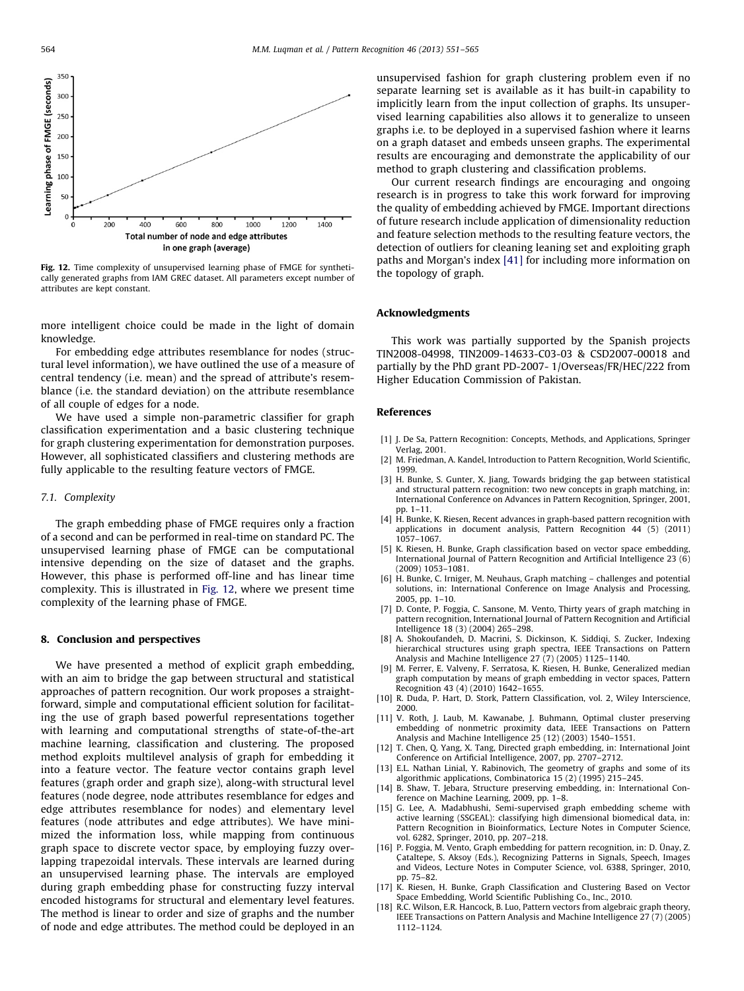<span id="page-13-0"></span>

Fig. 12. Time complexity of unsupervised learning phase of FMGE for synthetically generated graphs from IAM GREC dataset. All parameters except number of attributes are kept constant.

more intelligent choice could be made in the light of domain knowledge.

For embedding edge attributes resemblance for nodes (structural level information), we have outlined the use of a measure of central tendency (i.e. mean) and the spread of attribute's resemblance (i.e. the standard deviation) on the attribute resemblance of all couple of edges for a node.

We have used a simple non-parametric classifier for graph classification experimentation and a basic clustering technique for graph clustering experimentation for demonstration purposes. However, all sophisticated classifiers and clustering methods are fully applicable to the resulting feature vectors of FMGE.

# 7.1. Complexity

The graph embedding phase of FMGE requires only a fraction of a second and can be performed in real-time on standard PC. The unsupervised learning phase of FMGE can be computational intensive depending on the size of dataset and the graphs. However, this phase is performed off-line and has linear time complexity. This is illustrated in Fig. 12, where we present time complexity of the learning phase of FMGE.

#### 8. Conclusion and perspectives

We have presented a method of explicit graph embedding, with an aim to bridge the gap between structural and statistical approaches of pattern recognition. Our work proposes a straightforward, simple and computational efficient solution for facilitating the use of graph based powerful representations together with learning and computational strengths of state-of-the-art machine learning, classification and clustering. The proposed method exploits multilevel analysis of graph for embedding it into a feature vector. The feature vector contains graph level features (graph order and graph size), along-with structural level features (node degree, node attributes resemblance for edges and edge attributes resemblance for nodes) and elementary level features (node attributes and edge attributes). We have minimized the information loss, while mapping from continuous graph space to discrete vector space, by employing fuzzy overlapping trapezoidal intervals. These intervals are learned during an unsupervised learning phase. The intervals are employed during graph embedding phase for constructing fuzzy interval encoded histograms for structural and elementary level features. The method is linear to order and size of graphs and the number of node and edge attributes. The method could be deployed in an unsupervised fashion for graph clustering problem even if no separate learning set is available as it has built-in capability to implicitly learn from the input collection of graphs. Its unsupervised learning capabilities also allows it to generalize to unseen graphs i.e. to be deployed in a supervised fashion where it learns on a graph dataset and embeds unseen graphs. The experimental results are encouraging and demonstrate the applicability of our method to graph clustering and classification problems.

Our current research findings are encouraging and ongoing research is in progress to take this work forward for improving the quality of embedding achieved by FMGE. Important directions of future research include application of dimensionality reduction and feature selection methods to the resulting feature vectors, the detection of outliers for cleaning leaning set and exploiting graph paths and Morgan's index [\[41\]](#page-14-0) for including more information on the topology of graph.

#### Acknowledgments

This work was partially supported by the Spanish projects TIN2008-04998, TIN2009-14633-C03-03 & CSD2007-00018 and partially by the PhD grant PD-2007- 1/Overseas/FR/HEC/222 from Higher Education Commission of Pakistan.

#### References

- [1] J. De Sa, Pattern Recognition: Concepts, Methods, and Applications, Springer Verlag, 2001.
- [2] M. Friedman, A. Kandel, Introduction to Pattern Recognition, World Scientific, 1999.
- [3] H. Bunke, S. Gunter, X. Jiang, Towards bridging the gap between statistical and structural pattern recognition: two new concepts in graph matching, in: International Conference on Advances in Pattern Recognition, Springer, 2001, pp. 1–11.
- [4] H. Bunke, K. Riesen, Recent advances in graph-based pattern recognition with applications in document analysis, Pattern Recognition 44 (5) (2011) 1057–1067.
- [5] K. Riesen, H. Bunke, Graph classification based on vector space embedding, International Journal of Pattern Recognition and Artificial Intelligence 23 (6) (2009) 1053–1081.
- [6] H. Bunke, C. Irniger, M. Neuhaus, Graph matching challenges and potential solutions, in: International Conference on Image Analysis and Processing, 2005, pp. 1–10.
- [7] D. Conte, P. Foggia, C. Sansone, M. Vento, Thirty years of graph matching in pattern recognition, International Journal of Pattern Recognition and Artificial Intelligence 18 (3) (2004) 265–298.
- [8] A. Shokoufandeh, D. Macrini, S. Dickinson, K. Siddiqi, S. Zucker, Indexing hierarchical structures using graph spectra, IEEE Transactions on Pattern Analysis and Machine Intelligence 27 (7) (2005) 1125–1140.
- M. Ferrer, E. Valveny, F. Serratosa, K. Riesen, H. Bunke, Generalized median graph computation by means of graph embedding in vector spaces, Pattern Recognition 43 (4) (2010) 1642–1655.
- [10] R. Duda, P. Hart, D. Stork, Pattern Classification, vol. 2, Wiley Interscience, 2000.
- [11] V. Roth, J. Laub, M. Kawanabe, J. Buhmann, Optimal cluster preserving embedding of nonmetric proximity data, IEEE Transactions on Pattern Analysis and Machine Intelligence 25 (12) (2003) 1540–1551.
- [12] T. Chen, Q. Yang, X. Tang, Directed graph embedding, in: International Joint Conference on Artificial Intelligence, 2007, pp. 2707–2712.
- [13] E.L. Nathan Linial, Y. Rabinovich, The geometry of graphs and some of its algorithmic applications, Combinatorica 15 (2) (1995) 215–245.
- [14] B. Shaw, T. Jebara, Structure preserving embedding, in: International Conference on Machine Learning, 2009, pp. 1–8.
- [15] G. Lee, A. Madabhushi, Semi-supervised graph embedding scheme with active learning (SSGEAL): classifying high dimensional biomedical data, in: Pattern Recognition in Bioinformatics, Lecture Notes in Computer Science, vol. 6282, Springer, 2010, pp. 207–218.
- [16] P. Foggia, M. Vento, Graph embedding for pattern recognition, in: D. Ünay, Z. Cataltepe, S. Aksoy (Eds.), Recognizing Patterns in Signals, Speech, Images and Videos, Lecture Notes in Computer Science, vol. 6388, Springer, 2010, pp. 75–82.
- [17] K. Riesen, H. Bunke, Graph Classification and Clustering Based on Vector Space Embedding, World Scientific Publishing Co., Inc., 2010.
- [18] R.C. Wilson, E.R. Hancock, B. Luo, Pattern vectors from algebraic graph theory, IEEE Transactions on Pattern Analysis and Machine Intelligence 27 (7) (2005) 1112–1124.